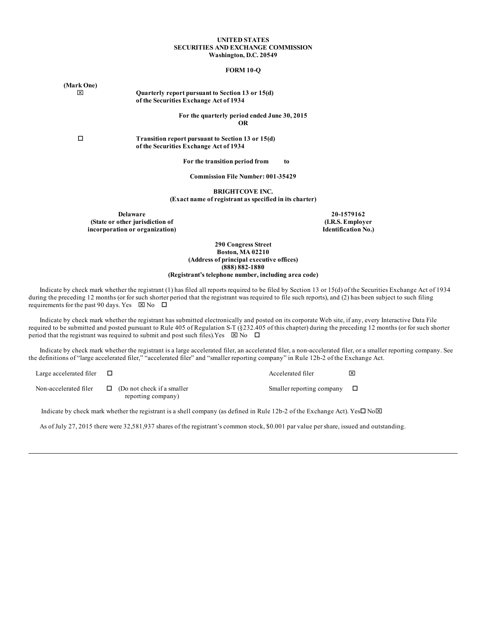#### **UNITED STATES SECURITIES AND EXCHANGE COMMISSION Washington, D.C. 20549**

#### **FORM 10-Q**

x **Quarterly report pursuant to Section 13 or 15(d) of the Securities Exchange Act of 1934**

> **For the quarterly period ended June 30, 2015 OR**

o **Transition report pursuant to Section 13 or 15(d) of the Securities Exchange Act of 1934**

**For the transition period from to**

**Commission File Number: 001-35429**

**BRIGHTCOVE INC.**

**(Exact name of registrant as specified in its charter)**

**Delaware 20-1579162 (State or other jurisdiction of incorporation or organization)**

**(I.R.S. Employer Identification No.)**

**290 Congress Street Boston, MA 02210 (Address of principal executive offices) (888) 882-1880 (Registrant's telephone number, including area code)**

Indicate by check mark whether the registrant (1) has filed all reports required to be filed by Section 13 or 15(d) of the Securities Exchange Act of 1934 during the preceding 12 months (or for such shorter period that the registrant was required to file such reports), and (2) has been subject to such filing requirements for the past 90 days. Yes  $\boxtimes$  No  $\Box$ 

Indicate by check mark whether the registrant has submitted electronically and posted on its corporate Web site, if any, every Interactive Data File required to be submitted and posted pursuant to Rule 405 of Regulation S-T (§232.405 of this chapter) during the preceding 12 months (or for such shorter period that the registrant was required to submit and post such files). Yes  $\boxtimes$  No  $\Box$ 

Indicate by check mark whether the registrant is a large accelerated filer, an accelerated filer, a non-accelerated filer, or a smaller reporting company. See the definitions of "large accelerated filer," "accelerated filer" and "smaller reporting company" in Rule 12b-2 of the Exchange Act.

| Large accelerated filer |                                                         | Accelerated filer         | ℼ |
|-------------------------|---------------------------------------------------------|---------------------------|---|
| Non-accelerated filer   | $\Box$ (Do not check if a smaller<br>reporting company) | Smaller reporting company |   |

Indicate by check mark whether the registrant is a shell company (as defined in Rule 12b-2 of the Exchange Act). Yes $\Box$  No $\boxtimes$ 

As of July 27, 2015 there were 32,581,937 shares of the registrant's common stock, \$0.001 par value per share, issued and outstanding.

**(Mark One)**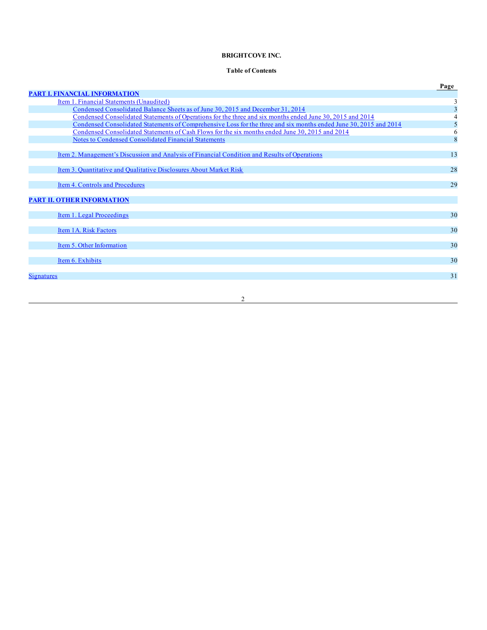# **BRIGHTCOVE INC.**

# **Table of Contents**

|                                                                                                                   | Page |
|-------------------------------------------------------------------------------------------------------------------|------|
| <b>PART I. FINANCIAL INFORMATION</b>                                                                              |      |
| Item 1. Financial Statements (Unaudited)                                                                          | 3    |
| Condensed Consolidated Balance Sheets as of June 30, 2015 and December 31, 2014                                   | 3    |
| Condensed Consolidated Statements of Operations for the three and six months ended June 30, 2015 and 2014         | 4    |
| Condensed Consolidated Statements of Comprehensive Loss for the three and six months ended June 30, 2015 and 2014 | 5    |
| Condensed Consolidated Statements of Cash Flows for the six months ended June 30, 2015 and 2014                   | 6    |
| <b>Notes to Condensed Consolidated Financial Statements</b>                                                       | 8    |
|                                                                                                                   |      |
| Item 2. Management's Discussion and Analysis of Financial Condition and Results of Operations                     | 13   |
|                                                                                                                   |      |
| Item 3. Quantitative and Qualitative Disclosures About Market Risk                                                | 28   |
|                                                                                                                   |      |
| Item 4. Controls and Procedures                                                                                   | 29   |
|                                                                                                                   |      |
| <b>PART II. OTHER INFORMATION</b>                                                                                 |      |
|                                                                                                                   |      |
| Item 1. Legal Proceedings                                                                                         | 30   |
|                                                                                                                   |      |
| Item 1A. Risk Factors                                                                                             | 30   |
| Item 5. Other Information                                                                                         | 30   |
|                                                                                                                   |      |
| Item 6. Exhibits                                                                                                  | 30   |
|                                                                                                                   |      |
| Signatures                                                                                                        | 31   |
|                                                                                                                   |      |
|                                                                                                                   |      |
| $\overline{c}$                                                                                                    |      |
|                                                                                                                   |      |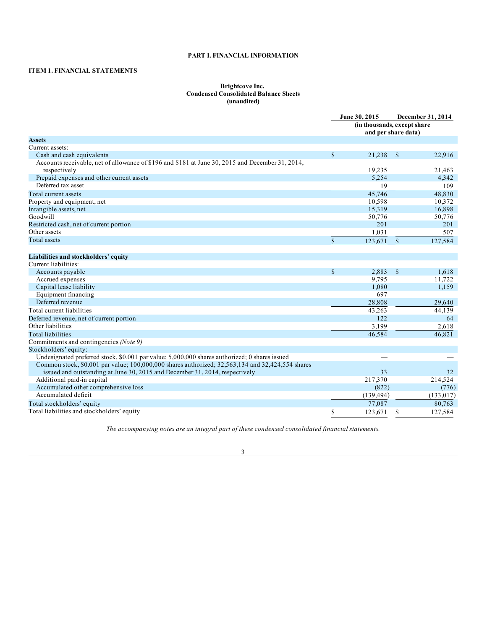# **PART I. FINANCIAL INFORMATION**

# <span id="page-2-0"></span>**ITEM 1. FINANCIAL STATEMENTS**

## **Brightcove Inc. Condensed Consolidated Balance Sheets (unaudited)**

|                                                                                                  |              | June 30, 2015                                      |               | December 31, 2014 |
|--------------------------------------------------------------------------------------------------|--------------|----------------------------------------------------|---------------|-------------------|
|                                                                                                  |              | (in thousands, except share<br>and per share data) |               |                   |
| <b>Assets</b>                                                                                    |              |                                                    |               |                   |
| Current assets:                                                                                  |              |                                                    |               |                   |
| Cash and cash equivalents                                                                        | $\mathbb{S}$ | 21,238                                             | $\mathcal{S}$ | 22,916            |
| Accounts receivable, net of allowance of \$196 and \$181 at June 30, 2015 and December 31, 2014, |              |                                                    |               |                   |
| respectively                                                                                     |              | 19,235                                             |               | 21,463            |
| Prepaid expenses and other current assets                                                        |              | 5,254                                              |               | 4,342             |
| Deferred tax asset                                                                               |              | 19                                                 |               | 109               |
| Total current assets                                                                             |              | 45,746                                             |               | 48,830            |
| Property and equipment, net                                                                      |              | 10,598                                             |               | 10,372            |
| Intangible assets, net                                                                           |              | 15,319                                             |               | 16,898            |
| Goodwill                                                                                         |              | 50,776                                             |               | 50,776            |
| Restricted cash, net of current portion                                                          |              | 201                                                |               | 201               |
| Other assets                                                                                     |              | 1.031                                              |               | 507               |
| <b>Total</b> assets                                                                              | $\$$         | 123,671                                            | $\mathbb{S}$  | 127,584           |
|                                                                                                  |              |                                                    |               |                   |
| Liabilities and stockholders' equity                                                             |              |                                                    |               |                   |
| Current liabilities:                                                                             |              |                                                    |               |                   |
| Accounts payable                                                                                 | $\mathbb{S}$ | 2,883                                              | $\mathcal{S}$ | 1,618             |
| Accrued expenses                                                                                 |              | 9,795                                              |               | 11,722            |
| Capital lease liability                                                                          |              | 1,080                                              |               | 1,159             |
| Equipment financing                                                                              |              | 697                                                |               |                   |
| Deferred revenue                                                                                 |              | 28,808                                             |               | 29,640            |
| Total current liabilities                                                                        |              | 43,263                                             |               | 44,139            |
| Deferred revenue, net of current portion                                                         |              | 122                                                |               | 64                |
| Other liabilities                                                                                |              | 3,199                                              |               | 2,618             |
| <b>Total liabilities</b>                                                                         |              | 46.584                                             |               | 46.821            |
| Commitments and contingencies (Note 9)                                                           |              |                                                    |               |                   |
| Stockholders' equity:                                                                            |              |                                                    |               |                   |
| Undesignated preferred stock, \$0.001 par value; 5,000,000 shares authorized; 0 shares issued    |              |                                                    |               |                   |
| Common stock, \$0.001 par value; 100,000,000 shares authorized; 32,563,134 and 32,424,554 shares |              |                                                    |               |                   |
| issued and outstanding at June 30, 2015 and December 31, 2014, respectively                      |              | 33                                                 |               | 32                |
| Additional paid-in capital                                                                       |              | 217,370                                            |               | 214,524           |
| Accumulated other comprehensive loss                                                             |              | (822)                                              |               | (776)             |
| Accumulated deficit                                                                              |              | (139, 494)                                         |               | (133, 017)        |
| Total stockholders' equity                                                                       |              | 77,087                                             |               | 80,763            |
| Total liabilities and stockholders' equity                                                       | \$           | 123,671                                            | S             | 127.584           |

*The accompanying notes are an integral part of these condensed consolidated financial statements.*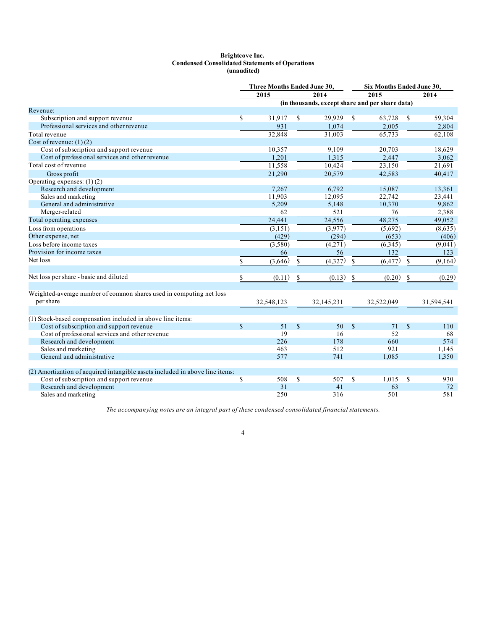#### **Brightcove Inc. Condensed Consolidated Statements of Operations (unaudited)**

<span id="page-3-0"></span>

|                                                                              |             | Three Months Ended June 30, |                                   |                                                 |               | Six Months Ended June 30, |               |            |  |
|------------------------------------------------------------------------------|-------------|-----------------------------|-----------------------------------|-------------------------------------------------|---------------|---------------------------|---------------|------------|--|
|                                                                              |             | 2015                        |                                   | 2014                                            |               | 2015                      |               | 2014       |  |
|                                                                              |             |                             |                                   | (in thousands, except share and per share data) |               |                           |               |            |  |
| Revenue:                                                                     |             |                             |                                   |                                                 |               |                           |               |            |  |
| Subscription and support revenue                                             | \$          | 31,917                      | \$                                | 29,929                                          | <sup>\$</sup> | 63,728                    | S             | 59,304     |  |
| Professional services and other revenue                                      |             | 931                         |                                   | 1,074                                           |               | 2,005                     |               | 2,804      |  |
| Total revenue                                                                |             | 32,848                      |                                   | 31,003                                          |               | 65,733                    |               | 62,108     |  |
| Cost of revenue: $(1)(2)$                                                    |             |                             |                                   |                                                 |               |                           |               |            |  |
| Cost of subscription and support revenue                                     |             | 10,357                      |                                   | 9,109                                           |               | 20,703                    |               | 18,629     |  |
| Cost of professional services and other revenue                              |             | 1,201                       |                                   | 1,315                                           |               | 2,447                     |               | 3,062      |  |
| Total cost of revenue                                                        |             | 11,558                      |                                   | 10,424                                          |               | 23,150                    |               | 21,691     |  |
| Gross profit                                                                 |             | 21,290                      |                                   | 20,579                                          |               | 42,583                    |               | 40,417     |  |
| Operating expenses: $(1)(2)$                                                 |             |                             |                                   |                                                 |               |                           |               |            |  |
| Research and development                                                     |             | 7,267                       |                                   | 6.792                                           |               | 15,087                    |               | 13,361     |  |
| Sales and marketing                                                          |             | 11,903                      |                                   | 12,095                                          |               | 22,742                    |               | 23,441     |  |
| General and administrative                                                   |             | 5,209                       |                                   | 5,148                                           |               | 10,370                    |               | 9,862      |  |
| Merger-related                                                               |             | 62                          |                                   | 521                                             |               | 76                        |               | 2,388      |  |
| Total operating expenses                                                     |             | 24,441                      |                                   | 24,556                                          |               | 48,275                    |               | 49,052     |  |
| Loss from operations                                                         |             | (3,151)                     |                                   | (3,977)                                         |               | (5,692)                   |               | (8,635)    |  |
| Other expense, net                                                           |             | (429)                       |                                   | (294)                                           |               | (653)                     |               | (406)      |  |
| Loss before income taxes                                                     |             | (3,580)                     |                                   | (4,271)                                         |               | (6, 345)                  |               | (9,041)    |  |
| Provision for income taxes                                                   |             | 66                          |                                   | 56                                              |               | 132                       |               | 123        |  |
| Net loss                                                                     | \$          | (3,646)                     | $\mathbb{S}$                      | (4,327)                                         | \$            | (6, 477)                  | S             | (9,164)    |  |
|                                                                              |             |                             |                                   |                                                 |               |                           |               |            |  |
| Net loss per share - basic and diluted                                       | \$          | (0.11)                      | $\mathbb{S}% _{t}\left( t\right)$ | (0.13)                                          | \$            | (0.20)                    | \$            | (0.29)     |  |
| Weighted-average number of common shares used in computing net loss          |             |                             |                                   |                                                 |               |                           |               |            |  |
| per share                                                                    |             | 32,548,123                  |                                   | 32,145,231                                      |               | 32,522,049                |               | 31,594,541 |  |
|                                                                              |             |                             |                                   |                                                 |               |                           |               |            |  |
| (1) Stock-based compensation included in above line items:                   |             |                             |                                   |                                                 |               |                           |               |            |  |
| Cost of subscription and support revenue                                     | $\mathbf S$ | 51                          | $\mathbf S$                       | 50                                              | $\mathcal{S}$ | 71                        | <sup>\$</sup> | 110        |  |
| Cost of professional services and other revenue                              |             | 19                          |                                   | 16                                              |               | 52                        |               | 68         |  |
| Research and development                                                     |             | 226                         |                                   | 178                                             |               | 660                       |               | 574        |  |
| Sales and marketing                                                          |             | 463                         |                                   | 512                                             |               | 921                       |               | 1,145      |  |
| General and administrative                                                   |             | 577                         |                                   | 741                                             |               | 1,085                     |               | 1,350      |  |
|                                                                              |             |                             |                                   |                                                 |               |                           |               |            |  |
| (2) Amortization of acquired intangible assets included in above line items: | \$          | 508                         | \$                                | 507                                             | <sup>\$</sup> | 1,015                     |               | 930        |  |
| Cost of subscription and support revenue<br>Research and development         |             | 31                          |                                   | 41                                              |               | 63                        | S             | 72         |  |
| Sales and marketing                                                          |             | 250                         |                                   | 316                                             |               | 501                       |               | 581        |  |
|                                                                              |             |                             |                                   |                                                 |               |                           |               |            |  |

*The accompanying notes are an integral part of these condensed consolidated financial statements.*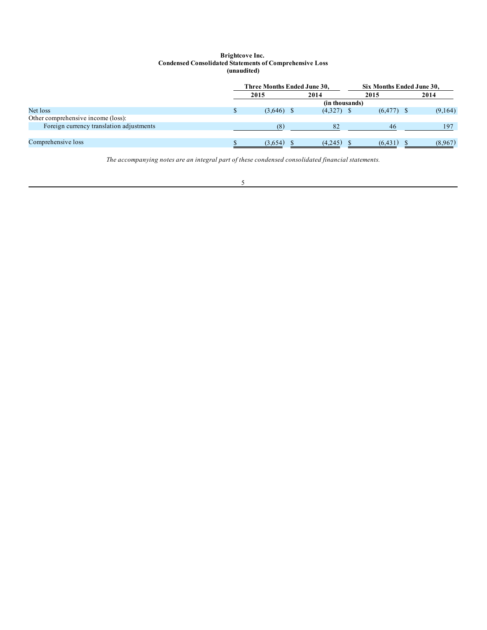## **Brightcove Inc. Condensed Consolidated Statements of Comprehensive Loss (unaudited)**

<span id="page-4-0"></span>

|                                          | Three Months Ended June 30, |  |              |  | Six Months Ended June 30, |  |         |  |  |  |
|------------------------------------------|-----------------------------|--|--------------|--|---------------------------|--|---------|--|--|--|
|                                          | 2015                        |  | 2014         |  | 2015                      |  | 2014    |  |  |  |
|                                          | (in thousands)              |  |              |  |                           |  |         |  |  |  |
| Net loss                                 | $(3,646)$ \$                |  | $(4,327)$ \$ |  | $(6, 477)$ \$             |  | (9,164) |  |  |  |
| Other comprehensive income (loss):       |                             |  |              |  |                           |  |         |  |  |  |
| Foreign currency translation adjustments | (8)                         |  | 82           |  | 46                        |  | 197     |  |  |  |
|                                          |                             |  |              |  |                           |  |         |  |  |  |
| Comprehensive loss                       | (3,654)                     |  | (4,245)      |  | (6, 431)                  |  | (8,967) |  |  |  |

*The accompanying notes are an integral part of these condensed consolidated financial statements.*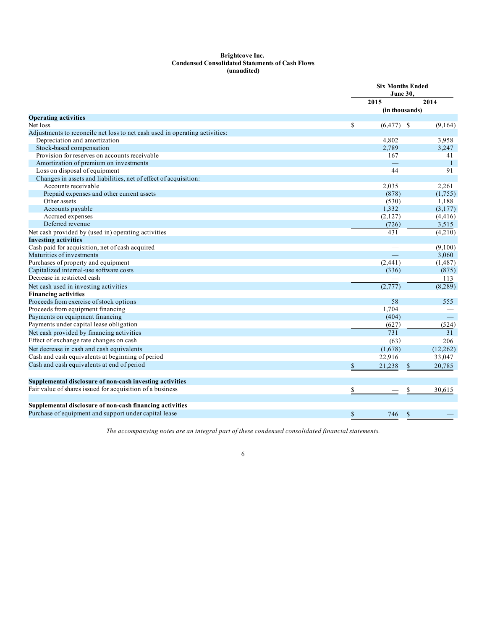#### **Brightcove Inc. Condensed Consolidated Statements of Cash Flows (unaudited)**

<span id="page-5-0"></span>

|                                                                             |               | <b>Six Months Ended</b><br><b>June 30,</b> |                        |  |  |
|-----------------------------------------------------------------------------|---------------|--------------------------------------------|------------------------|--|--|
|                                                                             |               | 2015                                       | 2014                   |  |  |
|                                                                             |               | (in thousands)                             |                        |  |  |
| <b>Operating activities</b>                                                 |               |                                            |                        |  |  |
| Net loss                                                                    | <sup>\$</sup> | $(6, 477)$ \$                              | (9,164)                |  |  |
| Adjustments to reconcile net loss to net cash used in operating activities: |               |                                            |                        |  |  |
| Depreciation and amortization                                               |               | 4,802                                      | 3,958                  |  |  |
| Stock-based compensation                                                    |               | 2,789                                      | 3,247                  |  |  |
| Provision for reserves on accounts receivable                               |               | 167                                        | 41                     |  |  |
| Amortization of premium on investments                                      |               |                                            | $\mathbf{1}$           |  |  |
| Loss on disposal of equipment                                               |               | 44                                         | 91                     |  |  |
| Changes in assets and liabilities, net of effect of acquisition:            |               |                                            |                        |  |  |
| Accounts receivable                                                         |               | 2,035                                      | 2,261                  |  |  |
| Prepaid expenses and other current assets                                   |               | (878)                                      | (1,755)                |  |  |
| Other assets                                                                |               | (530)                                      | 1,188                  |  |  |
| Accounts payable                                                            |               | 1,332                                      | (3,177)                |  |  |
| Accrued expenses                                                            |               | (2,127)                                    | (4, 416)               |  |  |
| Deferred revenue                                                            |               | (726)                                      | 3,515                  |  |  |
| Net cash provided by (used in) operating activities                         |               | 431                                        | (4,210)                |  |  |
| <b>Investing activities</b>                                                 |               |                                            |                        |  |  |
| Cash paid for acquisition, net of cash acquired                             |               |                                            | (9,100)                |  |  |
| Maturities of investments                                                   |               |                                            | 3,060                  |  |  |
| Purchases of property and equipment                                         |               | (2,441)                                    | (1,487)                |  |  |
| Capitalized internal-use software costs                                     |               | (336)                                      | (875)                  |  |  |
| Decrease in restricted cash                                                 |               |                                            | 113                    |  |  |
| Net cash used in investing activities                                       |               | (2,777)                                    | (8, 289)               |  |  |
| <b>Financing activities</b>                                                 |               |                                            |                        |  |  |
| Proceeds from exercise of stock options                                     |               | 58                                         | 555                    |  |  |
| Proceeds from equipment financing                                           |               | 1,704                                      |                        |  |  |
| Payments on equipment financing                                             |               | (404)                                      | $\equiv$               |  |  |
| Payments under capital lease obligation                                     |               | (627)                                      | (524)                  |  |  |
| Net cash provided by financing activities                                   |               | 731                                        | 31                     |  |  |
| Effect of exchange rate changes on cash                                     |               | (63)                                       | 206                    |  |  |
| Net decrease in cash and cash equivalents                                   |               | (1,678)                                    | (12, 262)              |  |  |
| Cash and cash equivalents at beginning of period                            |               | 22,916                                     | 33,047                 |  |  |
| Cash and cash equivalents at end of period                                  | \$            | 21,238                                     | $\mathbb{S}$<br>20,785 |  |  |
|                                                                             |               |                                            |                        |  |  |
| Supplemental disclosure of non-cash investing activities                    |               |                                            |                        |  |  |
| Fair value of shares issued for acquisition of a business                   | \$            |                                            | \$<br>30.615           |  |  |
|                                                                             |               |                                            |                        |  |  |
| Supplemental disclosure of non-cash financing activities                    |               |                                            |                        |  |  |
| Purchase of equipment and support under capital lease                       | \$            | 746                                        | <sup>\$</sup>          |  |  |
|                                                                             |               |                                            |                        |  |  |

*The accompanying notes are an integral part of these condensed consolidated financial statements.*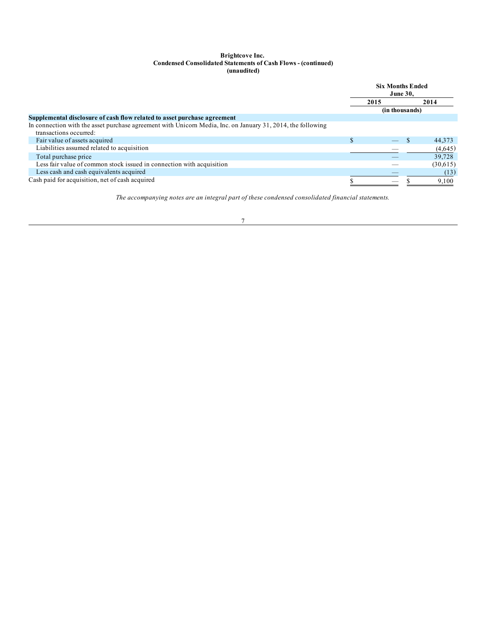### **Brightcove Inc. Condensed Consolidated Statements of Cash Flows - (continued) (unaudited)**

|                                                                                                                                       |  | <b>Six Months Ended</b><br><b>June 30.</b> |  |          |
|---------------------------------------------------------------------------------------------------------------------------------------|--|--------------------------------------------|--|----------|
|                                                                                                                                       |  | 2015                                       |  | 2014     |
|                                                                                                                                       |  | (in thousands)                             |  |          |
| Supplemental disclosure of cash flow related to asset purchase agreement                                                              |  |                                            |  |          |
| In connection with the asset purchase agreement with Unicorn Media, Inc. on January 31, 2014, the following<br>transactions occurred: |  |                                            |  |          |
| Fair value of assets acquired                                                                                                         |  |                                            |  | 44,373   |
| Liabilities assumed related to acquisition                                                                                            |  |                                            |  | (4,645)  |
| Total purchase price                                                                                                                  |  |                                            |  | 39,728   |
| Less fair value of common stock issued in connection with acquisition                                                                 |  |                                            |  | (30,615) |
| Less cash and cash equivalents acquired                                                                                               |  |                                            |  | (13)     |
| Cash paid for acquisition, net of cash acquired                                                                                       |  | $\overline{\phantom{a}}$                   |  | 9,100    |

*The accompanying notes are an integral part of these condensed consolidated financial statements.*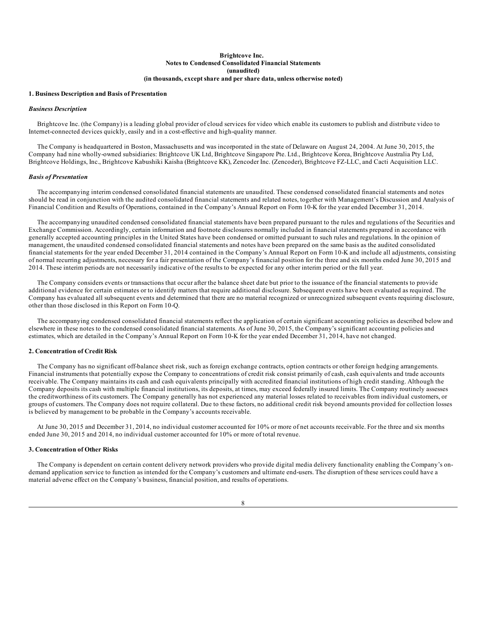### **Brightcove Inc. Notes to Condensed Consolidated Financial Statements (unaudited) (in thousands, except share and per share data, unless otherwise noted)**

#### <span id="page-7-0"></span>**1. Business Description and Basis of Presentation**

#### *Business Description*

Brightcove Inc. (the Company) is a leading global provider of cloud services for video which enable its customers to publish and distribute video to Internet-connected devices quickly, easily and in a cost-effective and high-quality manner.

The Company is headquartered in Boston, Massachusetts and was incorporated in the state of Delaware on August 24, 2004. At June 30, 2015, the Company had nine wholly-owned subsidiaries: Brightcove UK Ltd, Brightcove Singapore Pte. Ltd., Brightcove Korea, Brightcove Australia Pty Ltd, Brightcove Holdings, Inc., Brightcove Kabushiki Kaisha (Brightcove KK), Zencoder Inc. (Zencoder), Brightcove FZ-LLC, and Cacti Acquisition LLC.

#### *Basis of Presentation*

The accompanying interim condensed consolidated financial statements are unaudited. These condensed consolidated financial statements and notes should be read in conjunction with the audited consolidated financial statements and related notes, together with Management's Discussion and Analysis of Financial Condition and Results of Operations, contained in the Company's Annual Report on Form 10-K for the year ended December 31, 2014.

The accompanying unaudited condensed consolidated financial statements have been prepared pursuant to the rules and regulations of the Securities and Exchange Commission. Accordingly, certain information and footnote disclosures normally included in financial statements prepared in accordance with generally accepted accounting principles in the United States have been condensed or omitted pursuant to such rules and regulations. In the opinion of management, the unaudited condensed consolidated financial statements and notes have been prepared on the same basis as the audited consolidated financial statements for the year ended December 31, 2014 contained in the Company's Annual Report on Form 10-K and include all adjustments, consisting of normal recurring adjustments, necessary for a fair presentation of the Company's financial position for the three and six months ended June 30, 2015 and 2014. These interim periods are not necessarily indicative of the results to be expected for any other interim period or the full year.

The Company considers events or transactions that occur after the balance sheet date but prior to the issuance of the financial statements to provide additional evidence for certain estimates or to identify matters that require additional disclosure. Subsequent events have been evaluated as required. The Company has evaluated all subsequent events and determined that there are no material recognized or unrecognized subsequent events requiring disclosure, other than those disclosed in this Report on Form 10-Q.

The accompanying condensed consolidated financial statements reflect the application of certain significant accounting policies as described below and elsewhere in these notes to the condensed consolidated financial statements. As of June 30, 2015, the Company's significant accounting policies and estimates, which are detailed in the Company's Annual Report on Form 10-K for the year ended December 31, 2014, have not changed.

### **2. Concentration of Credit Risk**

The Company has no significant off-balance sheet risk, such as foreign exchange contracts, option contracts or other foreign hedging arrangements. Financial instruments that potentially expose the Company to concentrations of credit risk consist primarily of cash, cash equivalents and trade accounts receivable. The Company maintains its cash and cash equivalents principally with accredited financial institutions of high credit standing. Although the Company deposits its cash with multiple financial institutions, its deposits, at times, may exceed federally insured limits. The Company routinely assesses the creditworthiness of its customers. The Company generally has not experienced any material losses related to receivables from individual customers, or groups of customers. The Company does not require collateral. Due to these factors, no additional credit risk beyond amounts provided for collection losses is believed by management to be probable in the Company's accounts receivable.

At June 30, 2015 and December 31, 2014, no individual customer accounted for 10% or more of net accounts receivable. For the three and six months ended June 30, 2015 and 2014, no individual customer accounted for 10% or more of total revenue.

## **3. Concentration of Other Risks**

The Company is dependent on certain content delivery network providers who provide digital media delivery functionality enabling the Company's ondemand application service to function as intended for the Company's customers and ultimate end-users. The disruption of these services could have a material adverse effect on the Company's business, financial position, and results of operations.

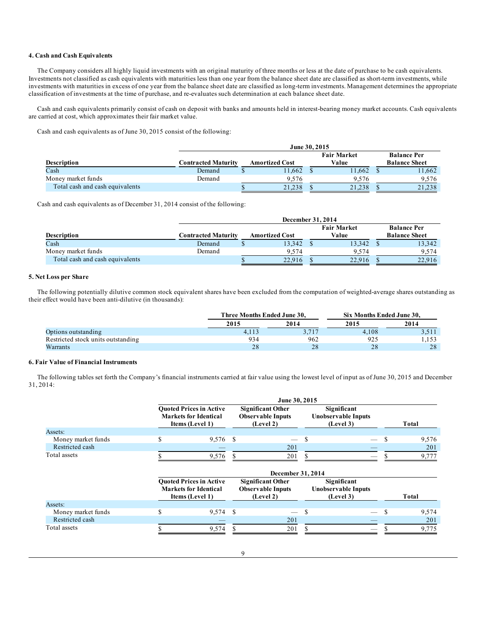## **4. Cash and Cash Equivalents**

The Company considers all highly liquid investments with an original maturity of three months or less at the date of purchase to be cash equivalents. Investments not classified as cash equivalents with maturities less than one year from the balance sheet date are classified as short-term investments, while investments with maturities in excess of one year from the balance sheet date are classified as long-term investments. Management determines the appropriate classification of investments at the time of purchase, and re-evaluates such determination at each balance sheet date.

Cash and cash equivalents primarily consist of cash on deposit with banks and amounts held in interest-bearing money market accounts. Cash equivalents are carried at cost, which approximates their fair market value.

Cash and cash equivalents as of June 30, 2015 consist of the following:

|                                 |                            | June 30, 2015         |        |                             |        |  |                                            |  |  |  |  |
|---------------------------------|----------------------------|-----------------------|--------|-----------------------------|--------|--|--------------------------------------------|--|--|--|--|
| <b>Description</b>              | <b>Contracted Maturity</b> | <b>Amortized Cost</b> |        | <b>Fair Market</b><br>Value |        |  | <b>Balance Per</b><br><b>Balance Sheet</b> |  |  |  |  |
| Cash                            | Demand                     |                       | 11.662 |                             | 11.662 |  | 11.662                                     |  |  |  |  |
| Money market funds              | Demand                     |                       | 9.576  |                             | 9.576  |  | 9.576                                      |  |  |  |  |
| Total cash and cash equivalents |                            |                       | 21.238 |                             | 21,238 |  | 21.238                                     |  |  |  |  |

Cash and cash equivalents as of December 31, 2014 consist of the following:

|                                 | December 31, 2014          |                       |        |  |        |  |                      |  |  |  |  |
|---------------------------------|----------------------------|-----------------------|--------|--|--------|--|----------------------|--|--|--|--|
|                                 |                            | <b>Fair Market</b>    |        |  |        |  |                      |  |  |  |  |
| <b>Description</b>              | <b>Contracted Maturity</b> | <b>Amortized Cost</b> |        |  |        |  | <b>Balance Sheet</b> |  |  |  |  |
| Cash                            | Demand                     |                       | 13,342 |  | 13,342 |  | 13,342               |  |  |  |  |
| Money market funds              | Demand                     |                       | 9.574  |  | 9.574  |  | 9.574                |  |  |  |  |
| Total cash and cash equivalents |                            |                       | 22.916 |  | 22.916 |  | 22.916               |  |  |  |  |

### **5. Net Loss per Share**

The following potentially dilutive common stock equivalent shares have been excluded from the computation of weighted-average shares outstanding as their effect would have been anti-dilutive (in thousands):

|                                    | Three Months Ended June 30. |       | Six Months Ended June 30. |       |  |  |
|------------------------------------|-----------------------------|-------|---------------------------|-------|--|--|
|                                    | 2015                        | 2014  | 2015                      | 2014  |  |  |
| Options outstanding                | 4.113                       | 3.717 | 4.108                     | 3,511 |  |  |
| Restricted stock units outstanding | 934                         | 962   | 925                       | 1.153 |  |  |
| Warrants                           | 28                          | 28    | 28                        | 28    |  |  |

## **6. Fair Value of Financial Instruments**

The following tables set forth the Company's financial instruments carried at fair value using the lowest level of input as of June 30, 2015 and December 31, 2014:

| Money market funds<br>Restricted cash |                                                                                                                                                                                                                                                                                                                                                                                                                                                                                                                                              | June 30, 2015 |       |  |  |  |  |       |  |  |  |
|---------------------------------------|----------------------------------------------------------------------------------------------------------------------------------------------------------------------------------------------------------------------------------------------------------------------------------------------------------------------------------------------------------------------------------------------------------------------------------------------------------------------------------------------------------------------------------------------|---------------|-------|--|--|--|--|-------|--|--|--|
|                                       | <b>Ouoted Prices in Active</b><br><b>Significant Other</b><br>Significant<br><b>Markets for Identical</b><br><b>Observable Inputs</b><br><b>Unobservable Inputs</b><br>Items (Level 1)<br>(Level 2)<br>(Level 3)<br>\$<br>9,576 \$<br>- \$<br>$\overline{\phantom{0}}$<br>201<br>9,576<br>201<br>__<br>December 31, 2014<br><b>Ouoted Prices in Active</b><br>Significant<br><b>Significant Other</b><br><b>Markets for Identical</b><br><b>Observable Inputs</b><br><b>Unobservable Inputs</b><br>(Level 3)<br>Items (Level 1)<br>(Level 2) |               | Total |  |  |  |  |       |  |  |  |
| Assets:                               |                                                                                                                                                                                                                                                                                                                                                                                                                                                                                                                                              |               |       |  |  |  |  |       |  |  |  |
|                                       |                                                                                                                                                                                                                                                                                                                                                                                                                                                                                                                                              |               |       |  |  |  |  | 9,576 |  |  |  |
|                                       |                                                                                                                                                                                                                                                                                                                                                                                                                                                                                                                                              |               |       |  |  |  |  | 201   |  |  |  |
| Total assets                          |                                                                                                                                                                                                                                                                                                                                                                                                                                                                                                                                              |               |       |  |  |  |  | 9,777 |  |  |  |
|                                       |                                                                                                                                                                                                                                                                                                                                                                                                                                                                                                                                              |               |       |  |  |  |  |       |  |  |  |
|                                       |                                                                                                                                                                                                                                                                                                                                                                                                                                                                                                                                              |               |       |  |  |  |  | Total |  |  |  |
| Assets:                               |                                                                                                                                                                                                                                                                                                                                                                                                                                                                                                                                              |               |       |  |  |  |  |       |  |  |  |
| Money market funds                    | \$                                                                                                                                                                                                                                                                                                                                                                                                                                                                                                                                           | 9,574         | \$.   |  |  |  |  | 9,574 |  |  |  |

Restricted cash  $-$  201  $-$  201  $-$  201 Total assets  $\begin{array}{ccccccccccccc}\n\text{Total assets} & & & 9,574 & \text{S} & & & 201 & \text{S} & & & - & \text{S} & & 9,775\n\end{array}$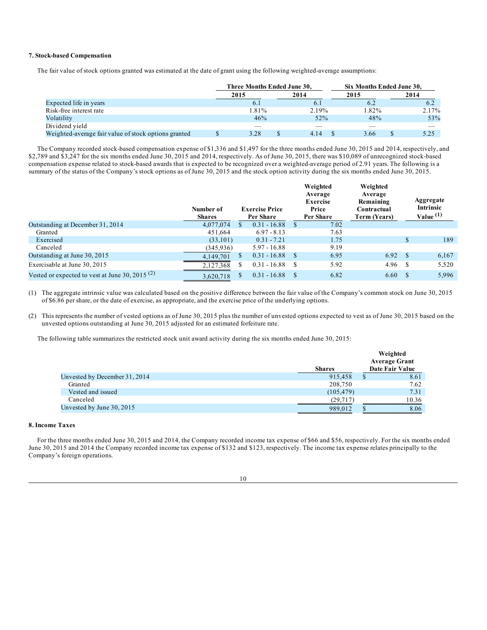## **7. Stock-based Compensation**

The fair value of stock options granted was estimated at the date of grant using the following weighted-average assumptions:

|                                                      | Three Months Ended June 30. |       | Six Months Ended June 30, |       |      |       |
|------------------------------------------------------|-----------------------------|-------|---------------------------|-------|------|-------|
|                                                      | 2015                        | 2014  | 2015                      |       | 2014 |       |
| Expected life in years                               | 6.1                         | 6.1   |                           |       |      | 6.2   |
| Risk-free interest rate                              | $.81\%$                     | 2.19% |                           | 1.82% |      | 2.17% |
| Volatility                                           | 46%                         | 52%   |                           | 48%   |      | 53%   |
| Dividend yield                                       |                             |       |                           |       |      |       |
| Weighted-average fair value of stock options granted | 3.28                        | 4.14  |                           | 3.66  |      | 5.25  |

The Company recorded stock-based compensation expense of \$1,336 and \$1,497 for the three months ended June 30, 2015 and 2014, respectively, and \$2,789 and \$3,247 for the six months ended June 30, 2015 and 2014, respectively. As of June 30, 2015, there was \$10,089 of unrecognized stock-based compensation expense related to stock-based awards that is expected to be recognized over a weighted-average period of 2.91 years. The following is a summary of the status of the Company's stock options as of June 30, 2015 and the stock option activity during the six months ended June 30, 2015.

|                                                   | Number of<br><b>Shares</b> |    | <b>Exercise Price</b><br>Per Share | Weighted<br>Average<br>Exercise<br>Price<br>Per Share | Weighted<br>Average<br>Remaining<br>Contractual<br>Term (Years) |     | Aggregate<br><b>Intrinsic</b><br>Value $(1)$ |
|---------------------------------------------------|----------------------------|----|------------------------------------|-------------------------------------------------------|-----------------------------------------------------------------|-----|----------------------------------------------|
| Outstanding at December 31, 2014                  | 4,077,074                  |    | $0.31 - 16.88$                     | 7.02                                                  |                                                                 |     |                                              |
| Granted                                           | 451.664                    |    | $6.97 - 8.13$                      | 7.63                                                  |                                                                 |     |                                              |
| Exercised                                         | (33, 101)                  |    | $0.31 - 7.21$                      | 1.75                                                  |                                                                 | \$. | 189                                          |
| Canceled                                          | (345.936)                  |    | $5.97 - 16.88$                     | 9.19                                                  |                                                                 |     |                                              |
| Outstanding at June 30, 2015                      | 4,149,701                  | S. | $0.31 - 16.88$                     | 6.95                                                  | 6.92 $\sqrt{s}$                                                 |     | 6,167                                        |
| Exercisable at June 30, 2015                      | 2,127,368                  | ъ  | $0.31 - 16.88$                     | 5.92                                                  | 4.96 <sup>5</sup>                                               |     | 5,520                                        |
| Vested or expected to vest at June 30, 2015 $(2)$ | 3,620,718                  |    | $0.31 - 16.88$                     | 6.82                                                  | 6.60                                                            | -S  | 5,996                                        |

(1) The aggregate intrinsic value was calculated based on the positive difference between the fair value of the Company's common stock on June 30, 2015 of \$6.86 per share, or the date of exercise, as appropriate, and the exercise price of the underlying options.

(2) This represents the number of vested options as of June 30, 2015 plus the number of unvested options expected to vest as of June 30, 2015 based on the unvested options outstanding at June 30, 2015 adjusted for an estimated forfeiture rate.

The following table summarizes the restricted stock unit award activity during the six months ended June 30, 2015:

|                               |               | Weighted<br><b>Average Grant</b> |
|-------------------------------|---------------|----------------------------------|
|                               | <b>Shares</b> | Date Fair Value                  |
| Unvested by December 31, 2014 | 915,458       | 8.61                             |
| Granted                       | 208,750       | 7.62                             |
| Vested and issued             | (105, 479)    | 7.31                             |
| Canceled                      | (29,717)      | 10.36                            |
| Unvested by June 30, 2015     | 989,012       | 8.06                             |

## **8. Income Taxes**

For the three months ended June 30, 2015 and 2014, the Company recorded income tax expense of \$66 and \$56, respectively. For the six months ended June 30, 2015 and 2014 the Company recorded income tax expense of \$132 and \$123, respectively. The income tax expense relates principally to the Company's foreign operations.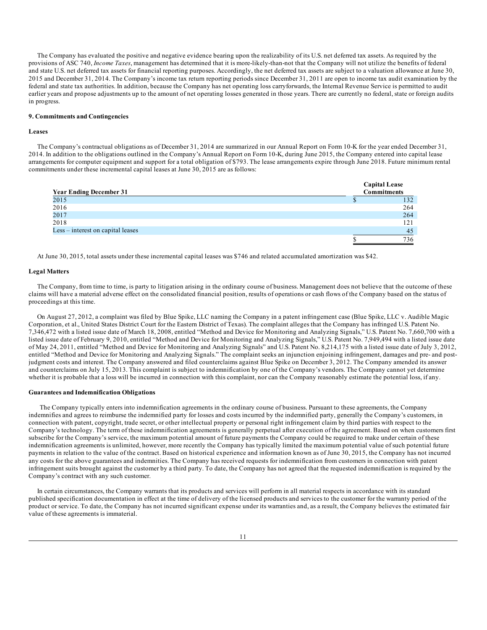The Company has evaluated the positive and negative evidence bearing upon the realizability of its U.S. net deferred tax assets. As required by the provisions of ASC 740, *Income Taxes*, management has determined that it is more-likely-than-not that the Company will not utilize the benefits of federal and state U.S. net deferred tax assets for financial reporting purposes. Accordingly, the net deferred tax assets are subject to a valuation allowance at June 30, 2015 and December 31, 2014. The Company's income tax return reporting periods since December 31, 2011 are open to income tax audit examination by the federal and state tax authorities. In addition, because the Company has net operating loss carryforwards, the Internal Revenue Service is permitted to audit earlier years and propose adjustments up to the amount of net operating losses generated in those years. There are currently no federal, state or foreign audits in progress.

## **9. Commitments and Contingencies**

#### **Leases**

The Company's contractual obligations as of December 31, 2014 are summarized in our Annual Report on Form 10-K for the year ended December 31, 2014. In addition to the obligations outlined in the Company's Annual Report on Form 10-K, during June 2015, the Company entered into capital lease arrangements for computer equipment and support for a total obligation of \$793. The lease arrangements expire through June 2018. Future minimum rental commitments under these incremental capital leases at June 30, 2015 are as follows:

| <b>Year Ending December 31</b>    | <b>Capital Lease</b><br><b>Commitments</b> |
|-----------------------------------|--------------------------------------------|
| 2015                              | 132                                        |
| 2016                              | 264                                        |
| 2017                              | 264                                        |
| 2018                              | 121                                        |
| Less – interest on capital leases | 45                                         |
|                                   | 736                                        |

At June 30, 2015, total assets under these incremental capital leases was \$746 and related accumulated amortization was \$42.

#### **Legal Matters**

The Company, from time to time, is party to litigation arising in the ordinary course of business. Management does not believe that the outcome of these claims will have a material adverse effect on the consolidated financial position, results of operations or cash flows of the Company based on the status of proceedings at this time.

On August 27, 2012, a complaint was filed by Blue Spike, LLC naming the Company in a patent infringement case (Blue Spike, LLC v. Audible Magic Corporation, et al., United States District Court for the Eastern District of Texas). The complaint alleges that the Company has infringed U.S. Patent No. 7,346,472 with a listed issue date of March 18, 2008, entitled "Method and Device for Monitoring and Analyzing Signals," U.S. Patent No. 7,660,700 with a listed issue date of February 9, 2010, entitled "Method and Device for Monitoring and Analyzing Signals," U.S. Patent No. 7,949,494 with a listed issue date of May 24, 2011, entitled "Method and Device for Monitoring and Analyzing Signals" and U.S. Patent No. 8,214,175 with a listed issue date of July 3, 2012, entitled "Method and Device for Monitoring and Analyzing Signals." The complaint seeks an injunction enjoining infringement, damages and pre- and postjudgment costs and interest. The Company answered and filed counterclaims against Blue Spike on December 3, 2012. The Company amended its answer and counterclaims on July 15, 2013. This complaint is subject to indemnification by one of the Company's vendors. The Company cannot yet determine whether it is probable that a loss will be incurred in connection with this complaint, nor can the Company reasonably estimate the potential loss, if any.

## **Guarantees and Indemnification Obligations**

The Company typically enters into indemnification agreements in the ordinary course of business. Pursuant to these agreements, the Company indemnifies and agrees to reimburse the indemnified party for losses and costs incurred by the indemnified party, generally the Company's customers, in connection with patent, copyright, trade secret, or other intellectual property or personal right infringement claim by third parties with respect to the Company's technology. The term of these indemnification agreements is generally perpetual after execution of the agreement. Based on when customers first subscribe for the Company's service, the maximum potential amount of future payments the Company could be required to make under certain of these indemnification agreements is unlimited, however, more recently the Company has typically limited the maximum potential value of such potential future payments in relation to the value of the contract. Based on historical experience and information known as of June 30, 2015, the Company has not incurred any costs for the above guarantees and indemnities. The Company has received requests for indemnification from customers in connection with patent infringement suits brought against the customer by a third party. To date, the Company has not agreed that the requested indemnification is required by the Company's contract with any such customer.

In certain circumstances, the Company warrants that its products and services will perform in all material respects in accordance with its standard published specification documentation in effect at the time of delivery of the licensed products and services to the customer for the warranty period of the product or service. To date, the Company has not incurred significant expense under its warranties and, as a result, the Company believes the estimated fair value of these agreements is immaterial.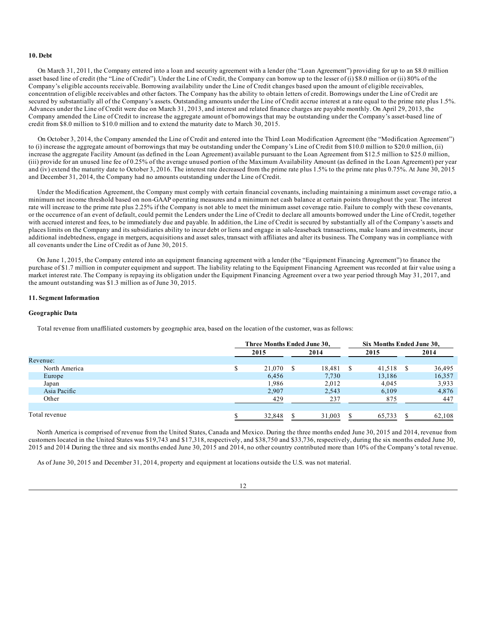#### **10. Debt**

On March 31, 2011, the Company entered into a loan and security agreement with a lender (the "Loan Agreement") providing for up to an \$8.0 million asset based line of credit (the "Line of Credit"). Under the Line of Credit, the Company can borrow up to the lesser of (i) \$8.0 million or (ii) 80% of the Company's eligible accounts receivable. Borrowing availability under the Line of Credit changes based upon the amount of eligible receivables, concentration of eligible receivables and other factors. The Company has the ability to obtain letters of credit. Borrowings under the Line of Credit are secured by substantially all of the Company's assets. Outstanding amounts under the Line of Credit accrue interest at a rate equal to the prime rate plus 1.5%. Advances under the Line of Credit were due on March 31, 2013, and interest and related finance charges are payable monthly. On April 29, 2013, the Company amended the Line of Credit to increase the aggregate amount of borrowings that may be outstanding under the Company's asset-based line of credit from \$8.0 million to \$10.0 million and to extend the maturity date to March 30, 2015.

On October 3, 2014, the Company amended the Line of Credit and entered into the Third Loan Modification Agreement (the "Modification Agreement") to (i) increase the aggregate amount of borrowings that may be outstanding under the Company's Line of Credit from \$10.0 million to \$20.0 million, (ii) increase the aggregate Facility Amount (as defined in the Loan Agreement) available pursuant to the Loan Agreement from \$12.5 million to \$25.0 million, (iii) provide for an unused line fee of 0.25% of the average unused portion of the Maximum Availability Amount (as defined in the Loan Agreement) per year and (iv) extend the maturity date to October 3, 2016. The interest rate decreased from the prime rate plus 1.5% to the prime rate plus 0.75%. At June 30, 2015 and December 31, 2014, the Company had no amounts outstanding under the Line of Credit.

Under the Modification Agreement, the Company must comply with certain financial covenants, including maintaining a minimum asset coverage ratio, a minimum net income threshold based on non-GAAP operating measures and a minimum net cash balance at certain points throughout the year. The interest rate will increase to the prime rate plus 2.25% if the Company is not able to meet the minimum asset coverage ratio. Failure to comply with these covenants, or the occurrence of an event of default, could permit the Lenders under the Line of Credit to declare all amounts borrowed under the Line of Credit, together with accrued interest and fees, to be immediately due and payable. In addition, the Line of Credit is secured by substantially all of the Company's assets and places limits on the Company and its subsidiaries ability to incur debt or liens and engage in sale-leaseback transactions, make loans and investments, incur additional indebtedness, engage in mergers, acquisitions and asset sales, transact with affiliates and alter its business. The Company was in compliance with all covenants under the Line of Credit as of June 30, 2015.

On June 1, 2015, the Company entered into an equipment financing agreement with a lender (the "Equipment Financing Agreement") to finance the purchase of \$1.7 million in computer equipment and support. The liability relating to the Equipment Financing Agreement was recorded at fair value using a market interest rate. The Company is repaying its obligation under the Equipment Financing Agreement over a two year period through May 31, 2017, and the amount outstanding was \$1.3 million as of June 30, 2015.

#### **11. Segment Information**

### **Geographic Data**

Total revenue from unaffiliated customers by geographic area, based on the location of the customer, was as follows:

|               |             | Three Months Ended June 30, |      | Six Months Ended June 30, |    |        |   |        |
|---------------|-------------|-----------------------------|------|---------------------------|----|--------|---|--------|
|               | 2015        |                             | 2014 |                           |    | 2015   |   | 2014   |
| Revenue:      |             |                             |      |                           |    |        |   |        |
| North America | $\triangle$ | 21,070                      | S    | 18.481                    | \$ | 41,518 | S | 36,495 |
| Europe        |             | 6,456                       |      | 7,730                     |    | 13,186 |   | 16,357 |
| Japan         |             | 1,986                       |      | 2,012                     |    | 4.045  |   | 3,933  |
| Asia Pacific  |             | 2,907                       |      | 2,543                     |    | 6,109  |   | 4,876  |
| Other         |             | 429                         |      | 237                       |    | 875    |   | 447    |
|               |             |                             |      |                           |    |        |   |        |
| Total revenue |             | 32,848                      |      | 31,003                    | S. | 65.733 |   | 62.108 |

North America is comprised of revenue from the United States, Canada and Mexico. During the three months ended June 30, 2015 and 2014, revenue from customers located in the United States was \$19,743 and \$17,318, respectively, and \$38,750 and \$33,736, respectively, during the six months ended June 30, 2015 and 2014 During the three and six months ended June 30, 2015 and 2014, no other country contributed more than 10% of the Company's total revenue.

As of June 30, 2015 and December 31, 2014, property and equipment at locations outside the U.S. was not material.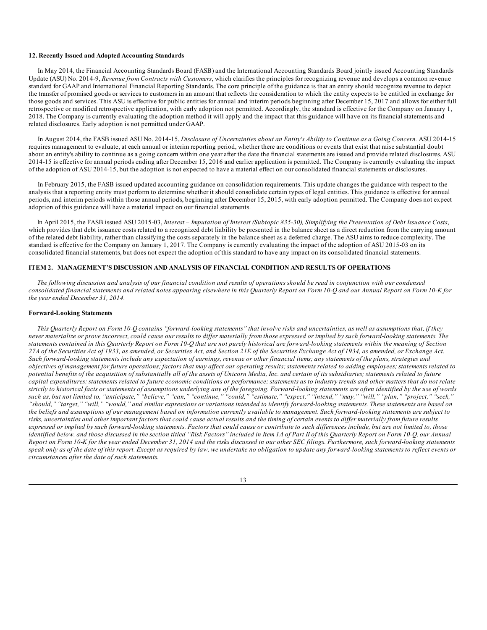## <span id="page-12-0"></span>**12. Recently Issued and Adopted Accounting Standards**

In May 2014, the Financial Accounting Standards Board (FASB) and the International Accounting Standards Board jointly issued Accounting Standards Update (ASU) No. 2014-9, *Revenue from Contracts with Customers*, which clarifies the principles for recognizing revenue and develops a common revenue standard for GAAP and International Financial Reporting Standards. The core principle of the guidance is that an entity should recognize revenue to depict the transfer of promised goods or services to customers in an amount that reflects the consideration to which the entity expects to be entitled in exchange for those goods and services. This ASU is effective for public entities for annual and interim periods beginning after December 15, 2017 and allows for either full retrospective or modified retrospective application, with early adoption not permitted. Accordingly, the standard is effective for the Company on January 1, 2018. The Company is currently evaluating the adoption method it will apply and the impact that this guidance will have on its financial statements and related disclosures. Early adoption is not permitted under GAAP.

In August 2014, the FASB issued ASU No. 2014-15, Disclosure of Uncertainties about an Entity's Ability to Continue as a Going Concern. ASU 2014-15 requires management to evaluate, at each annual or interim reporting period, whether there are conditions or events that exist that raise substantial doubt about an entity's ability to continue as a going concern within one year after the date the financial statements are issued and provide related disclosures. ASU 2014-15 is effective for annual periods ending after December 15, 2016 and earlier application is permitted. The Company is currently evaluating the impact of the adoption of ASU 2014-15, but the adoption is not expected to have a material effect on our consolidated financial statements or disclosures.

In February 2015, the FASB issued updated accounting guidance on consolidation requirements. This update changes the guidance with respect to the analysis that a reporting entity must perform to determine whether it should consolidate certain types of legal entities. This guidance is effective for annual periods, and interim periods within those annual periods, beginning after December 15, 2015, with early adoption permitted. The Company does not expect adoption of this guidance will have a material impact on our financial statements.

In April 2015, the FASB issued ASU 2015-03, Interest - Imputation of Interest (Subtopic 835-30), Simplifying the Presentation of Debt Issuance Costs, which provides that debt issuance costs related to a recognized debt liability be presented in the balance sheet as a direct reduction from the carrying amount of the related debt liability, rather than classifying the costs separately in the balance sheet as a deferred charge. The ASU aims to reduce complexity. The standard is effective for the Company on January 1, 2017. The Company is currently evaluating the impact of the adoption of ASU 2015-03 on its consolidated financial statements, but does not expect the adoption of this standard to have any impact on its consolidated financial statements.

#### **ITEM 2. MANAGEMENT'S DISCUSSION AND ANALYSIS OF FINANCIAL CONDITION AND RESULTS OF OPERATIONS**

The following discussion and analysis of our financial condition and results of operations should be read in conjunction with our condensed consolidated financial statements and related notes appearing elsewhere in this Quarterly Report on Form 10-Q and our Annual Report on Form 10-K for *the year ended December 31, 2014.*

#### **Forward-Looking Statements**

This Quarterly Report on Form 10-Q contains "forward-looking statements" that involve risks and uncertainties, as well as assumptions that, if they never materialize or prove incorrect, could cause our results to differ materially from those expressed or implied by such forward-looking statements. The statements contained in this Quarterly Report on Form 10-Q that are not purely historical are forward-looking statements within the meaning of Section 27A of the Securities Act of 1933, as amended, or Securities Act, and Section 21E of the Securities Exchange Act of 1934, as amended, or Exchange Act. Such forward-looking statements include any expectation of earnings, revenue or other financial items; any statements of the plans, strategies and objectives of management for future operations; factors that may affect our operating results; statements related to adding employees; statements related to potential benefits of the acquisition of substantially all of the assets of Unicorn Media, Inc. and certain of its subsidiaries; statements related to future capital expenditures; statements related to future economic conditions or performance; statements as to industry trends and other matters that do not relate strictly to historical facts or statements of assumptions underlying any of the foregoing. Forward-looking statements are often identified by the use of words such as, but not limited to, "anticipate," "believe," "can," "continue," "could," "estimate," "expect," "intend," "may," "will," "plan," "project," "seek," "should," "target," "will," "would," and similar expressions or variations intended to identify forward-looking statements. These statements are based on the beliefs and assumptions of our management based on information currently available to management. Such forward-looking statements are subject to risks, uncertainties and other important factors that could cause actual results and the timing of certain events to differ materially from future results expressed or implied by such forward-looking statements. Factors that could cause or contribute to such differences include, but are not limited to, those identified below, and those discussed in the section titled "Risk Factors" included in Item 1A of Part II of this Quarterly Report on Form 10-Q, our Annual Report on Form 10-K for the year ended December 31, 2014 and the risks discussed in our other SEC filings. Furthermore, such forward-looking statements speak only as of the date of this report. Except as required by law, we undertake no obligation to update any forward-looking statements to reflect events or *circumstances after the date of such statements.*

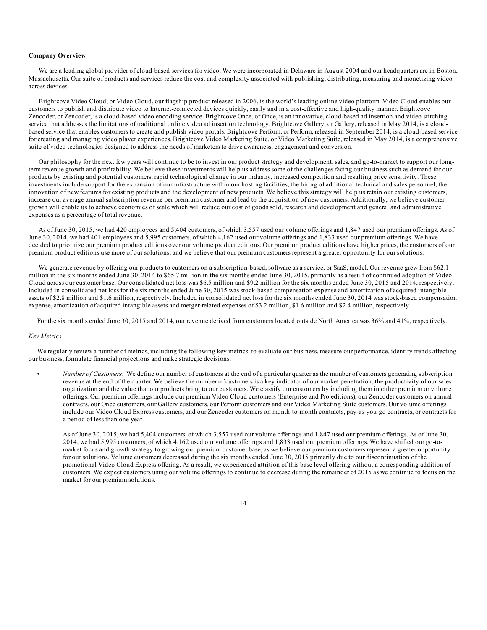## **Company Overview**

We are a leading global provider of cloud-based services for video. We were incorporated in Delaware in August 2004 and our headquarters are in Boston, Massachusetts. Our suite of products and services reduce the cost and complexity associated with publishing, distributing, measuring and monetizing video across devices.

Brightcove Video Cloud, or Video Cloud, our flagship product released in 2006, is the world's leading online video platform. Video Cloud enables our customers to publish and distribute video to Internet-connected devices quickly, easily and in a cost-effective and high-quality manner. Brightcove Zencoder, or Zencoder, is a cloud-based video encoding service. Brightcove Once, or Once, is an innovative, cloud-based ad insertion and video stitching service that addresses the limitations of traditional online video ad insertion technology. Brightcove Gallery, or Gallery, released in May 2014, is a cloudbased service that enables customers to create and publish video portals. Brightcove Perform, or Perform, released in September 2014, is a cloud-based service for creating and managing video player experiences. Brightcove Video Marketing Suite, or Video Marketing Suite, released in May 2014, is a comprehensive suite of video technologies designed to address the needs of marketers to drive awareness, engagement and conversion.

Our philosophy for the next few years will continue to be to invest in our product strategy and development, sales, and go-to-market to support our longterm revenue growth and profitability. We believe these investments will help us address some of the challenges facing our business such as demand for our products by existing and potential customers, rapid technological change in our industry, increased competition and resulting price sensitivity. These investments include support for the expansion of our infrastructure within our hosting facilities, the hiring of additional technical and sales personnel, the innovation of new features for existing products and the development of new products. We believe this strategy will help us retain our existing customers, increase our average annual subscription revenue per premium customer and lead to the acquisition of new customers. Additionally, we believe customer growth will enable us to achieve economies of scale which will reduce our cost of goods sold, research and development and general and administrative expenses as a percentage of total revenue.

As of June 30, 2015, we had 420 employees and 5,404 customers, of which 3,557 used our volume offerings and 1,847 used our premium offerings. As of June 30, 2014, we had 401 employees and 5,995 customers, of which 4,162 used our volume offerings and 1,833 used our premium offerings. We have decided to prioritize our premium product editions over our volume product editions. Our premium product editions have higher prices, the customers of our premium product editions use more of our solutions, and we believe that our premium customers represent a greater opportunity for our solutions.

We generate revenue by offering our products to customers on a subscription-based, software as a service, or SaaS, model. Our revenue grew from \$62.1 million in the six months ended June 30, 2014 to \$65.7 million in the six months ended June 30, 2015, primarily as a result of continued adoption of Video Cloud across our customer base. Our consolidated net loss was \$6.5 million and \$9.2 million for the six months ended June 30, 2015 and 2014, respectively. Included in consolidated net loss for the six months ended June 30, 2015 was stock-based compensation expense and amortization of acquired intangible assets of \$2.8 million and \$1.6 million, respectively. Included in consolidated net loss for the six months ended June 30, 2014 was stock-based compensation expense, amortization of acquired intangible assets and merger-related expenses of \$3.2 million, \$1.6 million and \$2.4 million, respectively.

For the six months ended June 30, 2015 and 2014, our revenue derived from customers located outside North America was 36% and 41%, respectively.

#### *Key Metrics*

We regularly review a number of metrics, including the following key metrics, to evaluate our business, measure our performance, identify trends affecting our business, formulate financial projections and make strategic decisions.

• *Number of Customers*. We define our number of customers at the end of a particular quarter as the number of customers generating subscription revenue at the end of the quarter. We believe the number of customers is a key indicator of our market penetration, the productivity of our sales organization and the value that our products bring to our customers. We classify our customers by including them in either premium or volume offerings. Our premium offerings include our premium Video Cloud customers (Enterprise and Pro editions), our Zencoder customers on annual contracts, our Once customers, our Gallery customers, our Perform customers and our Video Marketing Suite customers. Our volume offerings include our Video Cloud Express customers, and our Zencoder customers on month-to-month contracts, pay-as-you-go contracts, or contracts for a period of less than one year.

As of June 30, 2015, we had 5,404 customers, of which 3,557 used our volume offerings and 1,847 used our premium offerings. As of June 30, 2014, we had 5,995 customers, of which 4,162 used our volume offerings and 1,833 used our premium offerings. We have shifted our go-tomarket focus and growth strategy to growing our premium customer base, as we believe our premium customers represent a greater opportunity for our solutions. Volume customers decreased during the six months ended June 30, 2015 primarily due to our discontinuation of the promotional Video Cloud Express offering. As a result, we experienced attrition of this base level offering without a corresponding addition of customers. We expect customers using our volume offerings to continue to decrease during the remainder of 2015 as we continue to focus on the market for our premium solutions.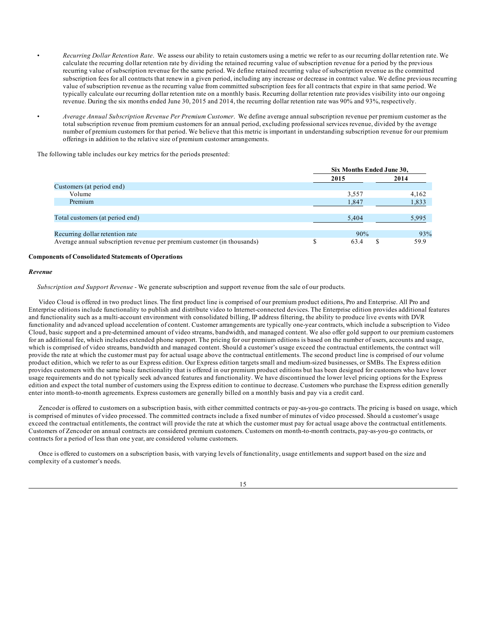- *Recurring Dollar Retention Rate*. We assess our ability to retain customers using a metric we refer to as our recurring dollar retention rate. We calculate the recurring dollar retention rate by dividing the retained recurring value of subscription revenue for a period by the previous recurring value of subscription revenue for the same period. We define retained recurring value of subscription revenue as the committed subscription fees for all contracts that renew in a given period, including any increase or decrease in contract value. We define previous recurring value of subscription revenue as the recurring value from committed subscription fees for all contracts that expire in that same period. We typically calculate our recurring dollar retention rate on a monthly basis. Recurring dollar retention rate provides visibility into our ongoing revenue. During the six months ended June 30, 2015 and 2014, the recurring dollar retention rate was 90% and 93%, respectively.
	- *Average Annual Subscription Revenue Per Premium Customer*. We define average annual subscription revenue per premium customer as the total subscription revenue from premium customers for an annual period, excluding professional services revenue, divided by the average number of premium customers for that period. We believe that this metric is important in understanding subscription revenue for our premium offerings in addition to the relative size of premium customer arrangements.

The following table includes our key metrics for the periods presented:

|                                                                         | Six Months Ended June 30, |       |
|-------------------------------------------------------------------------|---------------------------|-------|
|                                                                         | 2015                      | 2014  |
| Customers (at period end)                                               |                           |       |
| Volume                                                                  | 3.557                     | 4,162 |
| Premium                                                                 | 1,847                     | 1,833 |
|                                                                         |                           |       |
| Total customers (at period end)                                         | 5.404                     | 5.995 |
|                                                                         |                           |       |
| Recurring dollar retention rate                                         | 90%                       | 93%   |
| Average annual subscription revenue per premium customer (in thousands) | 63.4                      | 59.9  |

### **Components of Consolidated Statements of Operations**

#### *Revenue*

*Subscription and Support Revenue -* We generate subscription and support revenue from the sale of our products.

Video Cloud is offered in two product lines. The first product line is comprised of our premium product editions, Pro and Enterprise. All Pro and Enterprise editions include functionality to publish and distribute video to Internet-connected devices. The Enterprise edition provides additional features and functionality such as a multi-account environment with consolidated billing, IP address filtering, the ability to produce live events with DVR functionality and advanced upload acceleration of content. Customer arrangements are typically one-year contracts, which include a subscription to Video Cloud, basic support and a pre-determined amount of video streams, bandwidth, and managed content. We also offer gold support to our premium customers for an additional fee, which includes extended phone support. The pricing for our premium editions is based on the number of users, accounts and usage, which is comprised of video streams, bandwidth and managed content. Should a customer's usage exceed the contractual entitlements, the contract will provide the rate at which the customer must pay for actual usage above the contractual entitlements. The second product line is comprised of our volume product edition, which we refer to as our Express edition. Our Express edition targets small and medium-sized businesses, or SMBs. The Express edition provides customers with the same basic functionality that is offered in our premium product editions but has been designed for customers who have lower usage requirements and do not typically seek advanced features and functionality. We have discontinued the lower level pricing options for the Express edition and expect the total number of customers using the Express edition to continue to decrease. Customers who purchase the Express edition generally enter into month-to-month agreements. Express customers are generally billed on a monthly basis and pay via a credit card.

Zencoder is offered to customers on a subscription basis, with either committed contracts or pay-as-you-go contracts. The pricing is based on usage, which is comprised of minutes of video processed. The committed contracts include a fixed number of minutes of video processed. Should a customer's usage exceed the contractual entitlements, the contract will provide the rate at which the customer must pay for actual usage above the contractual entitlements. Customers of Zencoder on annual contracts are considered premium customers. Customers on month-to-month contracts, pay-as-you-go contracts, or contracts for a period of less than one year, are considered volume customers.

Once is offered to customers on a subscription basis, with varying levels of functionality, usage entitlements and support based on the size and complexity of a customer's needs.

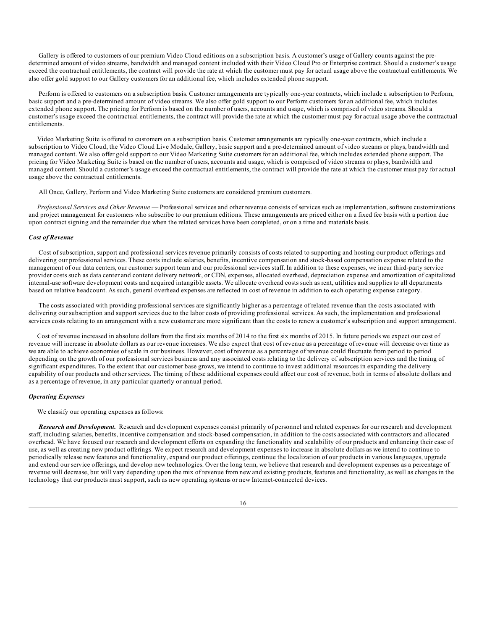Gallery is offered to customers of our premium Video Cloud editions on a subscription basis. A customer's usage of Gallery counts against the predetermined amount of video streams, bandwidth and managed content included with their Video Cloud Pro or Enterprise contract. Should a customer's usage exceed the contractual entitlements, the contract will provide the rate at which the customer must pay for actual usage above the contractual entitlements. We also offer gold support to our Gallery customers for an additional fee, which includes extended phone support.

Perform is offered to customers on a subscription basis. Customer arrangements are typically one-year contracts, which include a subscription to Perform, basic support and a pre-determined amount of video streams. We also offer gold support to our Perform customers for an additional fee, which includes extended phone support. The pricing for Perform is based on the number of users, accounts and usage, which is comprised of video streams. Should a customer's usage exceed the contractual entitlements, the contract will provide the rate at which the customer must pay for actual usage above the contractual entitlements.

Video Marketing Suite is offered to customers on a subscription basis. Customer arrangements are typically one-year contracts, which include a subscription to Video Cloud, the Video Cloud Live Module, Gallery, basic support and a pre-determined amount of video streams or plays, bandwidth and managed content. We also offer gold support to our Video Marketing Suite customers for an additional fee, which includes extended phone support. The pricing for Video Marketing Suite is based on the number of users, accounts and usage, which is comprised of video streams or plays, bandwidth and managed content. Should a customer's usage exceed the contractual entitlements, the contract will provide the rate at which the customer must pay for actual usage above the contractual entitlements.

All Once, Gallery, Perform and Video Marketing Suite customers are considered premium customers.

*Professional Services and Other Revenue* — Professional services and other revenue consists of services such as implementation, software customizations and project management for customers who subscribe to our premium editions. These arrangements are priced either on a fixed fee basis with a portion due upon contract signing and the remainder due when the related services have been completed, or on a time and materials basis.

### *Cost of Revenue*

Cost of subscription, support and professional services revenue primarily consists of costs related to supporting and hosting our product offerings and delivering our professional services. These costs include salaries, benefits, incentive compensation and stock-based compensation expense related to the management of our data centers, our customer support team and our professional services staff. In addition to these expenses, we incur third-party service provider costs such as data center and content delivery network, or CDN, expenses, allocated overhead, depreciation expense and amortization of capitalized internal-use software development costs and acquired intangible assets. We allocate overhead costs such as rent, utilities and supplies to all departments based on relative headcount. As such, general overhead expenses are reflected in cost of revenue in addition to each operating expense category.

The costs associated with providing professional services are significantly higher as a percentage of related revenue than the costs associated with delivering our subscription and support services due to the labor costs of providing professional services. As such, the implementation and professional services costs relating to an arrangement with a new customer are more significant than the costs to renew a customer's subscription and support arrangement.

Cost of revenue increased in absolute dollars from the first six months of 2014 to the first six months of 2015. In future periods we expect our cost of revenue will increase in absolute dollars as our revenue increases. We also expect that cost of revenue as a percentage of revenue will decrease over time as we are able to achieve economies of scale in our business. However, cost of revenue as a percentage of revenue could fluctuate from period to period depending on the growth of our professional services business and any associated costs relating to the delivery of subscription services and the timing of significant expenditures. To the extent that our customer base grows, we intend to continue to invest additional resources in expanding the delivery capability of our products and other services. The timing of these additional expenses could affect our cost of revenue, both in terms of absolute dollars and as a percentage of revenue, in any particular quarterly or annual period.

#### *Operating Expenses*

We classify our operating expenses as follows:

*Research and Development.* Research and development expenses consist primarily of personnel and related expenses for our research and development staff, including salaries, benefits, incentive compensation and stock-based compensation, in addition to the costs associated with contractors and allocated overhead. We have focused our research and development efforts on expanding the functionality and scalability of our products and enhancing their ease of use, as well as creating new product offerings. We expect research and development expenses to increase in absolute dollars as we intend to continue to periodically release new features and functionality, expand our product offerings, continue the localization of our products in various languages, upgrade and extend our service offerings, and develop new technologies. Over the long term, we believe that research and development expenses as a percentage of revenue will decrease, but will vary depending upon the mix of revenue from new and existing products, features and functionality, as well as changes in the technology that our products must support, such as new operating systems or new Internet-connected devices.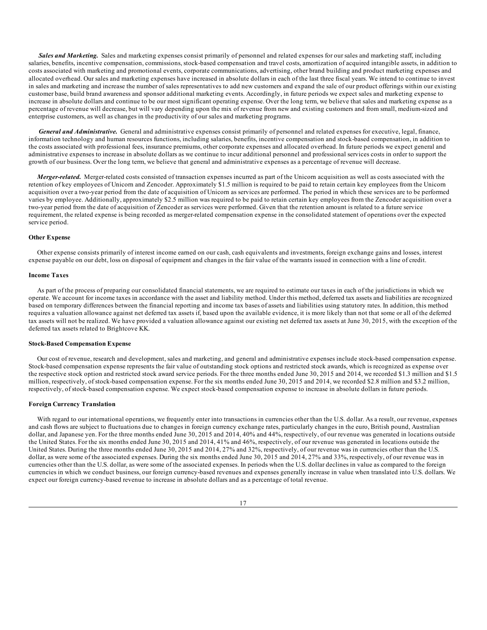*Sales and Marketing.* Sales and marketing expenses consist primarily of personnel and related expenses for our sales and marketing staff, including salaries, benefits, incentive compensation, commissions, stock-based compensation and travel costs, amortization of acquired intangible assets, in addition to costs associated with marketing and promotional events, corporate communications, advertising, other brand building and product marketing expenses and allocated overhead. Our sales and marketing expenses have increased in absolute dollars in each of the last three fiscal years. We intend to continue to invest in sales and marketing and increase the number of sales representatives to add new customers and expand the sale of our product offerings within our existing customer base, build brand awareness and sponsor additional marketing events. Accordingly, in future periods we expect sales and marketing expense to increase in absolute dollars and continue to be our most significant operating expense. Over the long term, we believe that sales and marketing expense as a percentage of revenue will decrease, but will vary depending upon the mix of revenue from new and existing customers and from small, medium-sized and enterprise customers, as well as changes in the productivity of our sales and marketing programs.

*General and Administrative.* General and administrative expenses consist primarily of personnel and related expenses for executive, legal, finance, information technology and human resources functions, including salaries, benefits, incentive compensation and stock-based compensation, in addition to the costs associated with professional fees, insurance premiums, other corporate expenses and allocated overhead. In future periods we expect general and administrative expenses to increase in absolute dollars as we continue to incur additional personnel and professional services costs in order to support the growth of our business. Over the long term, we believe that general and administrative expenses as a percentage of revenue will decrease.

*Merger-related.* Merger-related costs consisted of transaction expenses incurred as part of the Unicorn acquisition as well as costs associated with the retention of key employees of Unicorn and Zencoder. Approximately \$1.5 million is required to be paid to retain certain key employees from the Unicorn acquisition over a two-year period from the date of acquisition of Unicorn as services are performed. The period in which these services are to be performed varies by employee. Additionally, approximately \$2.5 million was required to be paid to retain certain key employees from the Zencoder acquisition over a two-year period from the date of acquisition of Zencoder as services were performed. Given that the retention amount is related to a future service requirement, the related expense is being recorded as merger-related compensation expense in the consolidated statement of operations over the expected service period.

### **Other Expense**

Other expense consists primarily of interest income earned on our cash, cash equivalents and investments, foreign exchange gains and losses, interest expense payable on our debt, loss on disposal of equipment and changes in the fair value of the warrants issued in connection with a line of credit.

#### **Income Taxes**

As part of the process of preparing our consolidated financial statements, we are required to estimate our taxes in each of the jurisdictions in which we operate. We account for income taxes in accordance with the asset and liability method. Under this method, deferred tax assets and liabilities are recognized based on temporary differences between the financial reporting and income tax bases of assets and liabilities using statutory rates. In addition, this method requires a valuation allowance against net deferred tax assets if, based upon the available evidence, it is more likely than not that some or all of the deferred tax assets will not be realized. We have provided a valuation allowance against our existing net deferred tax assets at June 30, 2015, with the exception of the deferred tax assets related to Brightcove KK.

#### **Stock-Based Compensation Expense**

Our cost of revenue, research and development, sales and marketing, and general and administrative expenses include stock-based compensation expense. Stock-based compensation expense represents the fair value of outstanding stock options and restricted stock awards, which is recognized as expense over the respective stock option and restricted stock award service periods. For the three months ended June 30, 2015 and 2014, we recorded \$1.3 million and \$1.5 million, respectively, of stock-based compensation expense. For the six months ended June 30, 2015 and 2014, we recorded \$2.8 million and \$3.2 million, respectively, of stock-based compensation expense. We expect stock-based compensation expense to increase in absolute dollars in future periods.

#### **Foreign Currency Translation**

With regard to our international operations, we frequently enter into transactions in currencies other than the U.S. dollar. As a result, our revenue, expenses and cash flows are subject to fluctuations due to changes in foreign currency exchange rates, particularly changes in the euro, British pound, Australian dollar, and Japanese yen. For the three months ended June 30, 2015 and 2014, 40% and 44%, respectively, of our revenue was generated in locations outside the United States. For the six months ended June 30, 2015 and 2014, 41% and 46%, respectively, of our revenue was generated in locations outside the United States. During the three months ended June 30, 2015 and 2014, 27% and 32%, respectively, of our revenue was in currencies other than the U.S. dollar, as were some of the associated expenses. During the six months ended June 30, 2015 and 2014, 27% and 33%, respectively, of our revenue was in currencies other than the U.S. dollar, as were some of the associated expenses. In periods when the U.S. dollar declines in value as compared to the foreign currencies in which we conduct business, our foreign currency-based revenues and expenses generally increase in value when translated into U.S. dollars. We expect our foreign currency-based revenue to increase in absolute dollars and as a percentage of total revenue.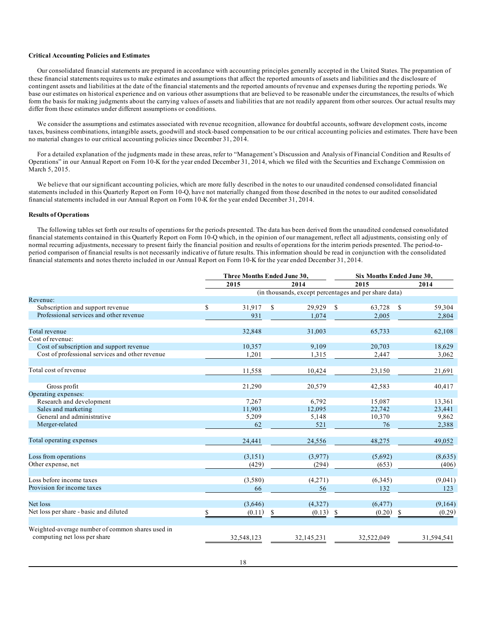### **Critical Accounting Policies and Estimates**

Our consolidated financial statements are prepared in accordance with accounting principles generally accepted in the United States. The preparation of these financial statements requires us to make estimates and assumptions that affect the reported amounts of assets and liabilities and the disclosure of contingent assets and liabilities at the date of the financial statements and the reported amounts of revenue and expenses during the reporting periods. We base our estimates on historical experience and on various other assumptions that are believed to be reasonable under the circumstances, the results of which form the basis for making judgments about the carrying values of assets and liabilities that are not readily apparent from other sources. Our actual results may differ from these estimates under different assumptions or conditions.

We consider the assumptions and estimates associated with revenue recognition, allowance for doubtful accounts, software development costs, income taxes, business combinations, intangible assets, goodwill and stock-based compensation to be our critical accounting policies and estimates. There have been no material changes to our critical accounting policies since December 31, 2014.

For a detailed explanation of the judgments made in these areas, refer to "Management's Discussion and Analysis of Financial Condition and Results of Operations" in our Annual Report on Form 10-K for the year ended December 31, 2014, which we filed with the Securities and Exchange Commission on March 5, 2015.

We believe that our significant accounting policies, which are more fully described in the notes to our unaudited condensed consolidated financial statements included in this Quarterly Report on Form 10-Q, have not materially changed from those described in the notes to our audited consolidated financial statements included in our Annual Report on Form 10-K for the year ended December 31, 2014.

### **Results of Operations**

The following tables set forth our results of operations for the periods presented. The data has been derived from the unaudited condensed consolidated financial statements contained in this Quarterly Report on Form 10-Q which, in the opinion of our management, reflect all adjustments, consisting only of normal recurring adjustments, necessary to present fairly the financial position and results of operations for the interim periods presented. The period-toperiod comparison of financial results is not necessarily indicative of future results. This information should be read in conjunction with the consolidated financial statements and notes thereto included in our Annual Report on Form 10-K for the year ended December 31, 2014.

|                                                  | Three Months Ended June 30, |               |            |               | <b>Six Months Ended June 30.</b>                      |               |            |
|--------------------------------------------------|-----------------------------|---------------|------------|---------------|-------------------------------------------------------|---------------|------------|
|                                                  | 2015                        |               | 2014       |               | 2015                                                  |               | 2014       |
|                                                  |                             |               |            |               | (in thousands, except percentages and per share data) |               |            |
| Revenue:                                         |                             |               |            |               |                                                       |               |            |
| Subscription and support revenue                 | \$<br>31,917                | <sup>\$</sup> | 29,929     | <sup>\$</sup> | 63,728                                                | <sup>\$</sup> | 59,304     |
| Professional services and other revenue          | 931                         |               | 1,074      |               | 2,005                                                 |               | 2,804      |
| Total revenue                                    | 32,848                      |               | 31,003     |               | 65,733                                                |               | 62,108     |
| Cost of revenue:                                 |                             |               |            |               |                                                       |               |            |
| Cost of subscription and support revenue         | 10,357                      |               | 9,109      |               | 20,703                                                |               | 18,629     |
| Cost of professional services and other revenue  | 1.201                       |               | 1,315      |               | 2,447                                                 |               | 3,062      |
| Total cost of revenue                            | 11,558                      |               | 10,424     |               | 23,150                                                |               | 21,691     |
|                                                  |                             |               |            |               |                                                       |               |            |
| Gross profit                                     | 21,290                      |               | 20,579     |               | 42,583                                                |               | 40,417     |
| Operating expenses:                              |                             |               |            |               |                                                       |               |            |
| Research and development                         | 7.267                       |               | 6,792      |               | 15,087                                                |               | 13,361     |
| Sales and marketing                              | 11,903                      |               | 12,095     |               | 22,742                                                |               | 23,441     |
| General and administrative                       | 5,209                       |               | 5,148      |               | 10,370                                                |               | 9,862      |
| Merger-related                                   | 62                          |               | 521        |               | 76                                                    |               | 2,388      |
| Total operating expenses                         | 24,441                      |               | 24,556     |               | 48,275                                                |               | 49,052     |
| Loss from operations                             | (3,151)                     |               | (3,977)    |               | (5,692)                                               |               | (8,635)    |
| Other expense, net                               | (429)                       |               | (294)      |               | (653)                                                 |               | (406)      |
| Loss before income taxes                         | (3,580)                     |               | (4,271)    |               | (6,345)                                               |               | (9,041)    |
| Provision for income taxes                       | 66                          |               | 56         |               | 132                                                   |               | 123        |
| Net loss                                         | (3,646)                     |               | (4,327)    |               | (6, 477)                                              |               | (9,164)    |
| Net loss per share - basic and diluted           | \$<br>(0.11)                | <sup>\$</sup> | (0.13)     | - \$          | (0.20)                                                | -S            | (0.29)     |
| Weighted-average number of common shares used in |                             |               |            |               |                                                       |               |            |
| computing net loss per share                     | 32,548,123                  |               | 32,145,231 |               | 32,522,049                                            |               | 31,594,541 |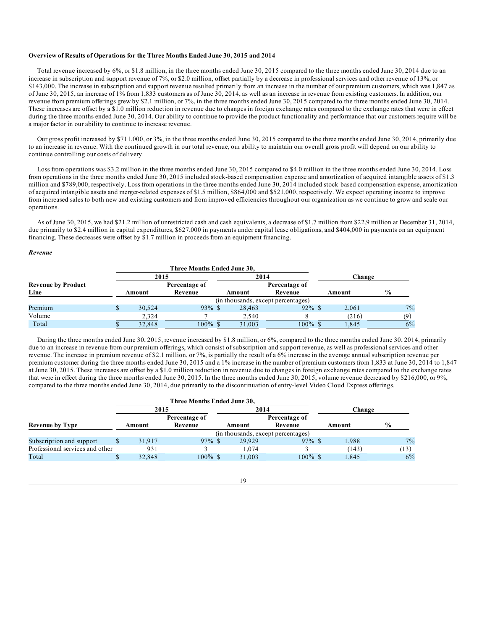### **Overview of Results of Operations for the Three Months Ended June 30, 2015 and 2014**

Total revenue increased by 6%, or \$1.8 million, in the three months ended June 30, 2015 compared to the three months ended June 30, 2014 due to an increase in subscription and support revenue of 7%, or \$2.0 million, offset partially by a decrease in professional services and other revenue of 13%, or \$143,000. The increase in subscription and support revenue resulted primarily from an increase in the number of our premium customers, which was 1,847 as of June 30, 2015, an increase of 1% from 1,833 customers as of June 30, 2014, as well as an increase in revenue from existing customers. In addition, our revenue from premium offerings grew by \$2.1 million, or 7%, in the three months ended June 30, 2015 compared to the three months ended June 30, 2014. These increases are offset by a \$1.0 million reduction in revenue due to changes in foreign exchange rates compared to the exchange rates that were in effect during the three months ended June 30, 2014. Our ability to continue to provide the product functionality and performance that our customers require will be a major factor in our ability to continue to increase revenue.

Our gross profit increased by \$711,000, or 3%, in the three months ended June 30, 2015 compared to the three months ended June 30, 2014, primarily due to an increase in revenue. With the continued growth in our total revenue, our ability to maintain our overall gross profit will depend on our ability to continue controlling our costs of delivery.

Loss from operations was \$3.2 million in the three months ended June 30, 2015 compared to \$4.0 million in the three months ended June 30, 2014. Loss from operations in the three months ended June 30, 2015 included stock-based compensation expense and amortization of acquired intangible assets of \$1.3 million and \$789,000, respectively. Loss from operations in the three months ended June 30, 2014 included stock-based compensation expense, amortization of acquired intangible assets and merger-related expenses of \$1.5 million, \$864,000 and \$521,000, respectively. We expect operating income to improve from increased sales to both new and existing customers and from improved efficiencies throughout our organization as we continue to grow and scale our operations.

As of June 30, 2015, we had \$21.2 million of unrestricted cash and cash equivalents, a decrease of \$1.7 million from \$22.9 million at December 31, 2014, due primarily to \$2.4 million in capital expenditures, \$627,000 in payments under capital lease obligations, and \$404,000 in payments on an equipment financing. These decreases were offset by \$1.7 million in proceeds from an equipment financing.

#### *Revenue*

|                           |        |        | Three Months Ended June 30, |        |                                    |        |               |  |
|---------------------------|--------|--------|-----------------------------|--------|------------------------------------|--------|---------------|--|
|                           |        |        | 2015                        |        | 2014                               | Change |               |  |
| <b>Revenue by Product</b> |        |        | Percentage of               |        | Percentage of                      |        |               |  |
| Line                      | Amount |        | Revenue                     | Amount | Revenue                            | Amount | $\frac{6}{9}$ |  |
|                           |        |        |                             |        | (in thousands, except percentages) |        |               |  |
| Premium                   |        | 30.524 | $93\%$ \$                   | 28,463 | $92\%$ \$                          | 2.061  | $7\%$         |  |
| Volume                    |        | 2.324  |                             | 2,540  |                                    | (216)  | (9)           |  |
| Total                     |        | 32,848 | $100\%$ \$                  | 31,003 | $100\%$ \$                         | 1.845  | 6%            |  |

During the three months ended June 30, 2015, revenue increased by \$1.8 million, or 6%, compared to the three months ended June 30, 2014, primarily due to an increase in revenue from our premium offerings, which consist of subscription and support revenue, as well as professional services and other revenue. The increase in premium revenue of \$2.1 million, or 7%, is partially the result of a 6% increase in the average annual subscription revenue per premium customer during the three months ended June 30, 2015 and a 1% increase in the number of premium customers from 1,833 at June 30, 2014 to 1,847 at June 30, 2015. These increases are offset by a \$1.0 million reduction in revenue due to changes in foreign exchange rates compared to the exchange rates that were in effect during the three months ended June 30, 2015. In the three months ended June 30, 2015, volume revenue decreased by \$216,000, or 9%, compared to the three months ended June 30, 2014, due primarily to the discontinuation of entry-level Video Cloud Express offerings.

|                                 |  |        | Three Months Ended June 30, |  |        |                                    |  |        |               |  |
|---------------------------------|--|--------|-----------------------------|--|--------|------------------------------------|--|--------|---------------|--|
|                                 |  | 2015   |                             |  | 2014   |                                    |  | Change |               |  |
|                                 |  |        | Percentage of               |  |        | Percentage of                      |  |        |               |  |
| <b>Revenue by Type</b>          |  | Amount | Revenue                     |  | Amount | Revenue                            |  | Amount | $\frac{0}{0}$ |  |
|                                 |  |        |                             |  |        | (in thousands, except percentages) |  |        |               |  |
| Subscription and support        |  | 31.917 | $97\%$ \$                   |  | 29.929 | $97\%$ \$                          |  | 1.988  | 7%            |  |
| Professional services and other |  | 931    |                             |  | 1.074  |                                    |  | (143)  | (13)          |  |
| Total                           |  | 32,848 | $100\%$ \$                  |  | 31,003 | $100\%$ \$                         |  | 1.845  | 6%            |  |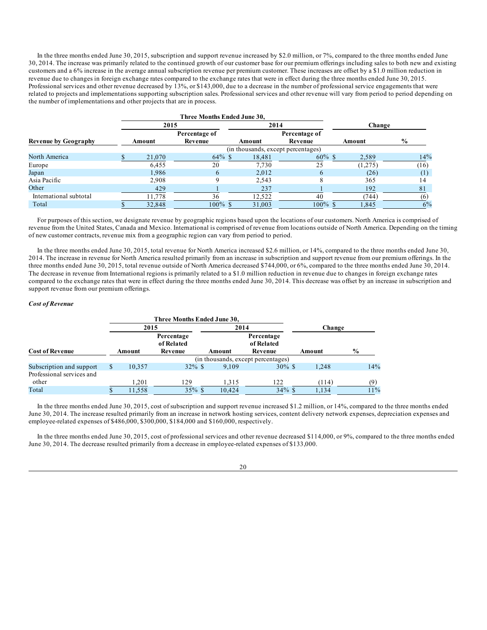In the three months ended June 30, 2015, subscription and support revenue increased by \$2.0 million, or 7%, compared to the three months ended June 30, 2014. The increase was primarily related to the continued growth of our customer base for our premium offerings including sales to both new and existing customers and a 6% increase in the average annual subscription revenue per premium customer. These increases are offset by a \$1.0 million reduction in revenue due to changes in foreign exchange rates compared to the exchange rates that were in effect during the three months ended June 30, 2015. Professional services and other revenue decreased by 13%, or \$143,000, due to a decrease in the number of professional service engagements that were related to projects and implementations supporting subscription sales. Professional services and other revenue will vary from period to period depending on the number of implementations and other projects that are in process.

|                             |        | Three Months Ended June 30, |        |                                    |  |         |               |  |
|-----------------------------|--------|-----------------------------|--------|------------------------------------|--|---------|---------------|--|
|                             | 2015   |                             | 2014   |                                    |  | Change  |               |  |
|                             |        | Percentage of               |        | Percentage of                      |  |         |               |  |
| <b>Revenue by Geography</b> | Amount | Revenue                     | Amount | Revenue                            |  | Amount  | $\frac{6}{9}$ |  |
|                             |        |                             |        | (in thousands, except percentages) |  |         |               |  |
| North America               | 21,070 | $64\%$ \$                   | 18,481 | $60\%$ \$                          |  | 2,589   | 14%           |  |
| Europe                      | 6.455  | 20                          | 7,730  | 25                                 |  | (1,275) | (16)          |  |
| Japan                       | 1.986  | 6                           | 2.012  | 6                                  |  | (26)    | (1)           |  |
| Asia Pacific                | 2,908  |                             | 2,543  | 8                                  |  | 365     | 14            |  |
| Other                       | 429    |                             | 237    |                                    |  | 192     | 81            |  |
| International subtotal      | 11,778 | 36                          | 12,522 | 40                                 |  | (744)   | (6)           |  |
| Total                       | 32,848 | $100\%$ \$                  | 31,003 | $100\%$ \$                         |  | 1,845   | 6%            |  |

For purposes of this section, we designate revenue by geographic regions based upon the locations of our customers. North America is comprised of revenue from the United States, Canada and Mexico. International is comprised of revenue from locations outside of North America. Depending on the timing of new customer contracts, revenue mix from a geographic region can vary from period to period.

In the three months ended June 30, 2015, total revenue for North America increased \$2.6 million, or 14%, compared to the three months ended June 30, 2014. The increase in revenue for North America resulted primarily from an increase in subscription and support revenue from our premium offerings. In the three months ended June 30, 2015, total revenue outside of North America decreased \$744,000, or 6%, compared to the three months ended June 30, 2014. The decrease in revenue from International regions is primarily related to a \$1.0 million reduction in revenue due to changes in foreign exchange rates compared to the exchange rates that were in effect during the three months ended June 30, 2014. This decrease was offset by an increase in subscription and support revenue from our premium offerings.

#### *Cost of Revenue*

|                           |      |        | Three Months Ended June 30,         |        |                                     |        |               |  |  |  |
|---------------------------|------|--------|-------------------------------------|--------|-------------------------------------|--------|---------------|--|--|--|
|                           | 2015 |        |                                     |        | 2014                                |        | Change        |  |  |  |
| <b>Cost of Revenue</b>    |      | Amount | Percentage<br>of Related<br>Revenue | Amount | Percentage<br>of Related<br>Revenue | Amount | $\frac{0}{0}$ |  |  |  |
|                           |      |        | (in thousands, except percentages)  |        |                                     |        |               |  |  |  |
| Subscription and support  |      | 10.357 | $32\%$ \$                           | 9.109  | $30\%$ \$                           | 1.248  | 14%           |  |  |  |
| Professional services and |      |        |                                     |        |                                     |        |               |  |  |  |
| other                     |      | 1.201  | 129                                 | 1,315  | 122                                 | (114)  | (9)           |  |  |  |
| Total                     |      | 11,558 | $35\%$ \$                           | 10.424 | $34\%$ \$                           | 1.134  | 11%           |  |  |  |

In the three months ended June 30, 2015, cost of subscription and support revenue increased \$1.2 million, or 14%, compared to the three months ended June 30, 2014. The increase resulted primarily from an increase in network hosting services, content delivery network expenses, depreciation expenses and employee-related expenses of \$486,000, \$300,000, \$184,000 and \$160,000, respectively.

In the three months ended June 30, 2015, cost of professional services and other revenue decreased \$114,000, or 9%, compared to the three months ended June 30, 2014. The decrease resulted primarily from a decrease in employee-related expenses of \$133,000.

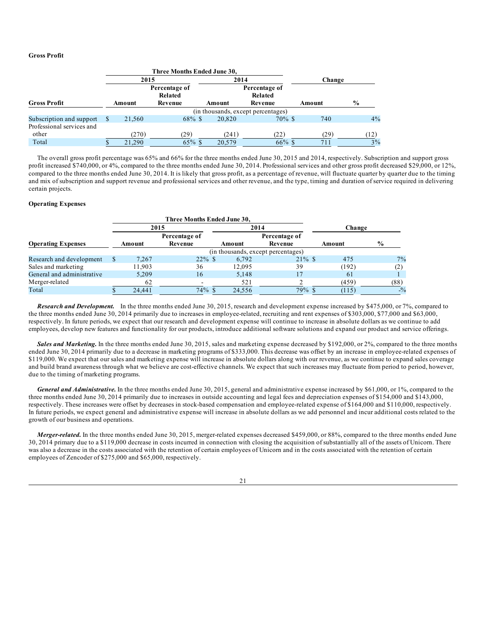## **Gross Profit**

|                           |      |        | Three Months Ended June 30,         |           |        |                                     |  |            |               |  |  |
|---------------------------|------|--------|-------------------------------------|-----------|--------|-------------------------------------|--|------------|---------------|--|--|
|                           | 2015 |        |                                     |           | 2014   |                                     |  | Change     |               |  |  |
| <b>Gross Profit</b>       |      | Amount | Percentage of<br>Related<br>Revenue |           | Amount | Percentage of<br>Related<br>Revenue |  | Amount     | $\frac{6}{9}$ |  |  |
|                           |      |        | (in thousands, except percentages)  |           |        |                                     |  |            |               |  |  |
| Subscription and support  |      | 21.560 |                                     | $68\%$ \$ | 20,820 | $70\%$ \$                           |  | 740        | 4%            |  |  |
| Professional services and |      |        |                                     |           |        |                                     |  |            |               |  |  |
| other                     |      | (270)  | (29)                                |           | (241)  | (22)                                |  | (29)       | (12)          |  |  |
| Total                     |      | 21,290 |                                     | $65\%$ \$ | 20.579 | $66\%$ \$                           |  | $71^\circ$ | $3\%$         |  |  |

The overall gross profit percentage was 65% and 66% for the three months ended June 30, 2015 and 2014, respectively. Subscription and support gross profit increased \$740,000, or 4%, compared to the three months ended June 30, 2014. Professional services and other gross profit decreased \$29,000, or 12%, compared to the three months ended June 30, 2014. It is likely that gross profit, as a percentage of revenue, will fluctuate quarter by quarter due to the timing and mix of subscription and support revenue and professional services and other revenue, and the type, timing and duration of service required in delivering certain projects.

## **Operating Expenses**

|                            |  |        | Three Months Ended June 30, |           |                                    |           |  |        |               |  |
|----------------------------|--|--------|-----------------------------|-----------|------------------------------------|-----------|--|--------|---------------|--|
|                            |  |        | 2015                        |           | 2014                               |           |  | Change |               |  |
|                            |  |        | Percentage of               |           | Percentage of                      |           |  |        |               |  |
| <b>Operating Expenses</b>  |  | Amount | Revenue                     |           | Amount                             | Revenue   |  | Amount | $\frac{6}{9}$ |  |
|                            |  |        |                             |           | (in thousands, except percentages) |           |  |        |               |  |
| Research and development   |  | 7.267  |                             | $22\%$ \$ | 6,792                              | $21\%$ \$ |  | 475    | 7%            |  |
| Sales and marketing        |  | 11.903 | 36                          |           | 12.095                             | 39        |  | (192)  | (2)           |  |
| General and administrative |  | 5.209  | 16                          |           | 5.148                              |           |  | 61     |               |  |
| Merger-related             |  | 62     |                             |           | 521                                |           |  | (459)  | (88)          |  |
| Total                      |  | 24.441 |                             | $74\%$ \$ | 24.556                             | 79% \$    |  | (115)  | $-9/0$        |  |

*Research and Development.* In the three months ended June 30, 2015, research and development expense increased by \$475,000, or 7%, compared to the three months ended June 30, 2014 primarily due to increases in employee-related, recruiting and rent expenses of \$303,000, \$77,000 and \$63,000, respectively. In future periods, we expect that our research and development expense will continue to increase in absolute dollars as we continue to add employees, develop new features and functionality for our products, introduce additional software solutions and expand our product and service offerings.

*Sales and Marketing.* In the three months ended June 30, 2015, sales and marketing expense decreased by \$192,000, or 2%, compared to the three months ended June 30, 2014 primarily due to a decrease in marketing programs of \$333,000. This decrease was offset by an increase in employee-related expenses of \$119,000. We expect that our sales and marketing expense will increase in absolute dollars along with our revenue, as we continue to expand sales coverage and build brand awareness through what we believe are cost-effective channels. We expect that such increases may fluctuate from period to period, however, due to the timing of marketing programs.

*General and Administrative.* In the three months ended June 30, 2015, general and administrative expense increased by \$61,000, or 1%, compared to the three months ended June 30, 2014 primarily due to increases in outside accounting and legal fees and depreciation expenses of \$154,000 and \$143,000, respectively. These increases were offset by decreases in stock-based compensation and employee-related expense of \$164,000 and \$110,000, respectively. In future periods, we expect general and administrative expense will increase in absolute dollars as we add personnel and incur additional costs related to the growth of our business and operations.

*Merger-related.* In the three months ended June 30, 2015, merger-related expenses decreased \$459,000, or 88%, compared to the three months ended June 30, 2014 primary due to a \$119,000 decrease in costs incurred in connection with closing the acquisition of substantially all of the assets of Unicorn. There was also a decrease in the costs associated with the retention of certain employees of Unicorn and in the costs associated with the retention of certain employees of Zencoder of \$275,000 and \$65,000, respectively.

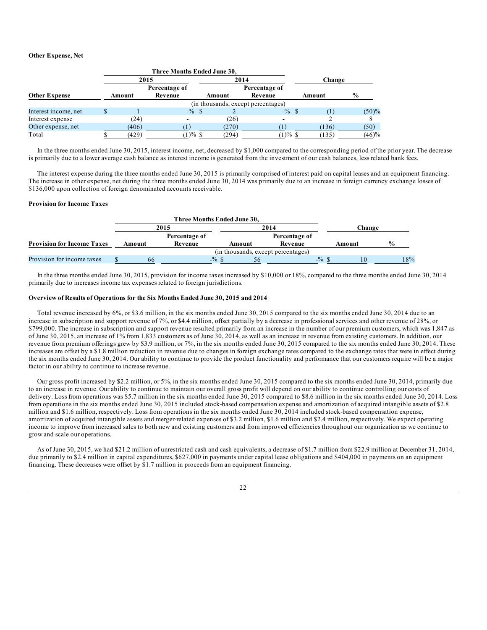## **Other Expense, Net**

|                      |                                    | Three Months Ended June 30, |        |               |        |               |  |  |
|----------------------|------------------------------------|-----------------------------|--------|---------------|--------|---------------|--|--|
|                      | 2015                               |                             |        | 2014          | Change |               |  |  |
|                      |                                    | Percentage of               |        | Percentage of |        |               |  |  |
| <b>Other Expense</b> | Amount                             | Revenue                     | Amount | Revenue       | Amount | $\frac{0}{0}$ |  |  |
|                      | (in thousands, except percentages) |                             |        |               |        |               |  |  |
| Interest income, net |                                    | $-$ % \$                    |        | $-$ % \$      |        | (50)%         |  |  |
| Interest expense     | (24)                               |                             | (26)   |               |        |               |  |  |
| Other expense, net   | (406)                              |                             | (270)  |               | (136)  | (50)          |  |  |
| Total                | (429)                              | $(1) \%$ \$                 | (294)  | $(1) \%$ \$   | (135)  | (46)%         |  |  |

In the three months ended June 30, 2015, interest income, net, decreased by \$1,000 compared to the corresponding period of the prior year. The decrease is primarily due to a lower average cash balance as interest income is generated from the investment of our cash balances, less related bank fees.

The interest expense during the three months ended June 30, 2015 is primarily comprised of interest paid on capital leases and an equipment financing. The increase in other expense, net during the three months ended June 30, 2014 was primarily due to an increase in foreign currency exchange losses of \$136,000 upon collection of foreign denominated accounts receivable.

### **Provision for Income Taxes**

|                                   |        | Three Months Ended June 30, |          |        |                                    |                                         |        |               |     |  |
|-----------------------------------|--------|-----------------------------|----------|--------|------------------------------------|-----------------------------------------|--------|---------------|-----|--|
|                                   | 2015   |                             |          | 2014   |                                    |                                         | Change |               |     |  |
|                                   |        | Percentage of               |          |        | Percentage of                      |                                         |        |               |     |  |
| <b>Provision for Income Taxes</b> | Amount | Revenue                     |          | Amount | Revenue                            |                                         | Amount | $\frac{0}{0}$ |     |  |
|                                   |        |                             |          |        | (in thousands, except percentages) |                                         |        |               |     |  |
| Provision for income taxes        | 66     |                             | $-$ % \$ |        |                                    | $-$ <sup>0</sup> / <sub>0</sub> $\sqrt$ | 10     |               | 18% |  |

In the three months ended June 30, 2015, provision for income taxes increased by \$10,000 or 18%, compared to the three months ended June 30, 2014 primarily due to increases income tax expenses related to foreign jurisdictions.

#### **Overview of Results of Operations for the Six Months Ended June 30, 2015 and 2014**

Total revenue increased by 6%, or \$3.6 million, in the six months ended June 30, 2015 compared to the six months ended June 30, 2014 due to an increase in subscription and support revenue of 7%, or \$4.4 million, offset partially by a decrease in professional services and other revenue of 28%, or \$799,000. The increase in subscription and support revenue resulted primarily from an increase in the number of our premium customers, which was 1,847 as of June 30, 2015, an increase of 1% from 1,833 customers as of June 30, 2014, as well as an increase in revenue from existing customers. In addition, our revenue from premium offerings grew by \$3.9 million, or 7%, in the six months ended June 30, 2015 compared to the six months ended June 30, 2014. These increases are offset by a \$1.8 million reduction in revenue due to changes in foreign exchange rates compared to the exchange rates that were in effect during the six months ended June 30, 2014. Our ability to continue to provide the product functionality and performance that our customers require will be a major factor in our ability to continue to increase revenue.

Our gross profit increased by \$2.2 million, or 5%, in the six months ended June 30, 2015 compared to the six months ended June 30, 2014, primarily due to an increase in revenue. Our ability to continue to maintain our overall gross profit will depend on our ability to continue controlling our costs of delivery. Loss from operations was \$5.7 million in the six months ended June 30, 2015 compared to \$8.6 million in the six months ended June 30, 2014. Loss from operations in the six months ended June 30, 2015 included stock-based compensation expense and amortization of acquired intangible assets of \$2.8 million and \$1.6 million, respectively. Loss from operations in the six months ended June 30, 2014 included stock-based compensation expense, amortization of acquired intangible assets and merger-related expenses of \$3.2 million, \$1.6 million and \$2.4 million, respectively. We expect operating income to improve from increased sales to both new and existing customers and from improved efficiencies throughout our organization as we continue to grow and scale our operations.

As of June 30, 2015, we had \$21.2 million of unrestricted cash and cash equivalents, a decrease of \$1.7 million from \$22.9 million at December 31, 2014, due primarily to \$2.4 million in capital expenditures, \$627,000 in payments under capital lease obligations and \$404,000 in payments on an equipment financing. These decreases were offset by \$1.7 million in proceeds from an equipment financing.

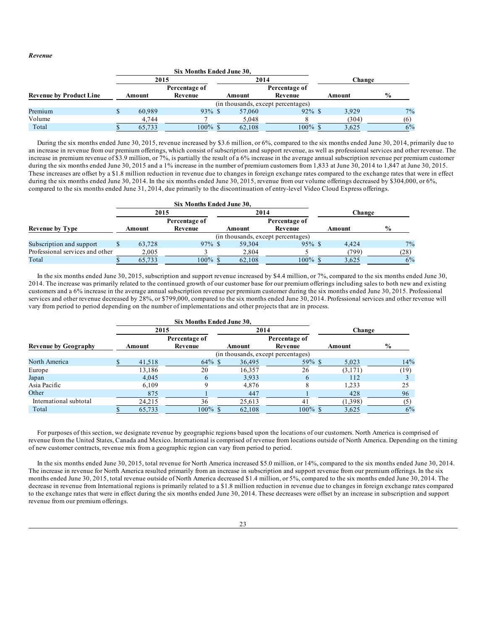*Revenue*

|                                |        | Six Months Ended June 30,          |  |        |                          |  |        |               |       |
|--------------------------------|--------|------------------------------------|--|--------|--------------------------|--|--------|---------------|-------|
|                                | 2015   |                                    |  | 2014   |                          |  | Change |               |       |
| <b>Revenue by Product Line</b> | Amount | Percentage of<br>Revenue           |  | Amount | Percentage of<br>Revenue |  | Amount | $\frac{6}{9}$ |       |
|                                |        | (in thousands, except percentages) |  |        |                          |  |        |               |       |
| Premium                        | 60.989 | $93\%$ \$                          |  | 57,060 | $92\%$ \$                |  | 3.929  |               | $7\%$ |
| Volume                         | 4.744  |                                    |  | 5,048  |                          |  | (304)  |               | (6)   |
| Total                          | 65,733 | $100\%$ \$                         |  | 62,108 | $100\%$ \$               |  | 3,625  |               | 6%    |

During the six months ended June 30, 2015, revenue increased by \$3.6 million, or 6%, compared to the six months ended June 30, 2014, primarily due to an increase in revenue from our premium offerings, which consist of subscription and support revenue, as well as professional services and other revenue. The increase in premium revenue of \$3.9 million, or 7%, is partially the result of a 6% increase in the average annual subscription revenue per premium customer during the six months ended June 30, 2015 and a 1% increase in the number of premium customers from 1,833 at June 30, 2014 to 1,847 at June 30, 2015. These increases are offset by a \$1.8 million reduction in revenue due to changes in foreign exchange rates compared to the exchange rates that were in effect during the six months ended June 30, 2014. In the six months ended June 30, 2015, revenue from our volume offerings decreased by \$304,000, or 6%, compared to the six months ended June 31, 2014, due primarily to the discontinuation of entry-level Video Cloud Express offerings.

|                                 |  |        | Six Months Ended June 30,          |               |        |            |  |        |               |       |
|---------------------------------|--|--------|------------------------------------|---------------|--------|------------|--|--------|---------------|-------|
|                                 |  | 2015   |                                    |               | 2014   |            |  | Change |               |       |
|                                 |  |        | Percentage of                      | Percentage of |        |            |  |        |               |       |
| <b>Revenue by Type</b>          |  | Amount | Revenue                            |               | Amount | Revenue    |  | Amount | $\frac{6}{9}$ |       |
|                                 |  |        | (in thousands, except percentages) |               |        |            |  |        |               |       |
| Subscription and support        |  | 63.728 | $97\%$ \$                          |               | 59.304 | $95\%$ \$  |  | 4.424  |               | $7\%$ |
| Professional services and other |  | 2.005  |                                    |               | 2.804  |            |  | (799)  | (28)          |       |
| Total                           |  | 65.733 | $100\%$ \$                         |               | 62.108 | $100\%$ \$ |  | 3.625  |               | 6%    |

In the six months ended June 30, 2015, subscription and support revenue increased by \$4.4 million, or 7%, compared to the six months ended June 30, 2014. The increase was primarily related to the continued growth of our customer base for our premium offerings including sales to both new and existing customers and a 6% increase in the average annual subscription revenue per premium customer during the six months ended June 30, 2015. Professional services and other revenue decreased by 28%, or \$799,000, compared to the six months ended June 30, 2014. Professional services and other revenue will vary from period to period depending on the number of implementations and other projects that are in process.

|                             |                                    | Six Months Ended June 30, |        |                          |         |      |  |  |
|-----------------------------|------------------------------------|---------------------------|--------|--------------------------|---------|------|--|--|
|                             |                                    | 2015                      |        | 2014                     | Change  |      |  |  |
| <b>Revenue by Geography</b> | Amount                             | Percentage of<br>Revenue  | Amount | Percentage of<br>Revenue | Amount  | $\%$ |  |  |
|                             | (in thousands, except percentages) |                           |        |                          |         |      |  |  |
| North America               | 41,518                             | $64\%$ \$                 | 36,495 | $59\%$ \$                | 5.023   | 14%  |  |  |
| Europe                      | 13.186                             | 20                        | 16,357 | 26                       | (3,171) | (19) |  |  |
| Japan                       | 4.045                              | 6                         | 3,933  | 6                        | 112     |      |  |  |
| Asia Pacific                | 6.109                              | Q                         | 4,876  |                          | 1,233   | 25   |  |  |
| Other                       | 875                                |                           | 447    |                          | 428     | 96   |  |  |
| International subtotal      | 24,215                             | 36                        | 25,613 | 41                       | (1,398) | (5)  |  |  |
| Total                       | 65,733                             | $100\%$ \$                | 62.108 | $100\%$ \$               | 3.625   | 6%   |  |  |

For purposes of this section, we designate revenue by geographic regions based upon the locations of our customers. North America is comprised of revenue from the United States, Canada and Mexico. International is comprised of revenue from locations outside of North America. Depending on the timing of new customer contracts, revenue mix from a geographic region can vary from period to period.

In the six months ended June 30, 2015, total revenue for North America increased \$5.0 million, or 14%, compared to the six months ended June 30, 2014. The increase in revenue for North America resulted primarily from an increase in subscription and support revenue from our premium offerings. In the six months ended June 30, 2015, total revenue outside of North America decreased \$1.4 million, or 5%, compared to the six months ended June 30, 2014. The decrease in revenue from International regions is primarily related to a \$1.8 million reduction in revenue due to changes in foreign exchange rates compared to the exchange rates that were in effect during the six months ended June 30, 2014. These decreases were offset by an increase in subscription and support revenue from our premium offerings.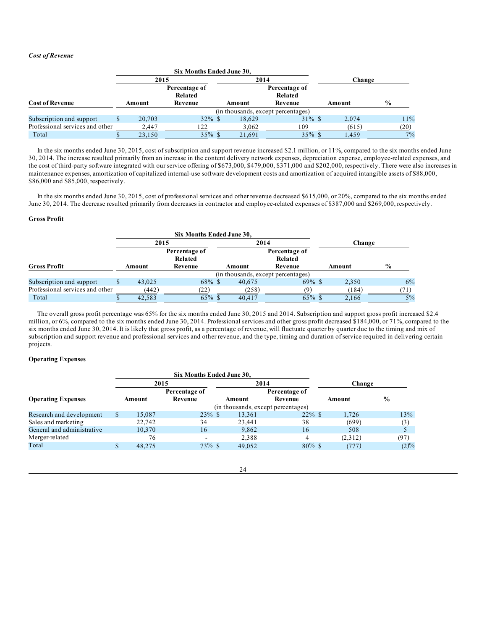## *Cost of Revenue*

|                                 |        |        | Six Months Ended June 30, |  |                   |                          |        |        |               |  |
|---------------------------------|--------|--------|---------------------------|--|-------------------|--------------------------|--------|--------|---------------|--|
|                                 | 2015   |        |                           |  | 2014              |                          |        | Change |               |  |
|                                 |        |        | Percentage of<br>Related  |  |                   | Percentage of<br>Related |        |        |               |  |
| <b>Cost of Revenue</b>          | Amount |        | Revenue                   |  | Revenue<br>Amount |                          | Amount |        | $\frac{0}{0}$ |  |
|                                 |        |        |                           |  |                   |                          |        |        |               |  |
| Subscription and support        |        | 20.703 | $32\%$ \$                 |  | 18,629            | $31\%$ \$                |        | 2.074  | 11%           |  |
| Professional services and other |        | 2.447  | 122                       |  | 3.062             | 109                      |        | (615)  | (20)          |  |
| Total                           |        | 23.150 | $35\%$ \$                 |  | 21.691            | $35\%$ \$                |        | 1.459  | 7%            |  |

In the six months ended June 30, 2015, cost of subscription and support revenue increased \$2.1 million, or 11%, compared to the six months ended June 30, 2014. The increase resulted primarily from an increase in the content delivery network expenses, depreciation expense, employee-related expenses, and the cost of third-party software integrated with our service offering of \$673,000, \$479,000, \$371,000 and \$202,000, respectively. There were also increases in maintenance expenses, amortization of capitalized internal-use software development costs and amortization of acquired intangible assets of \$88,000, \$86,000 and \$85,000, respectively.

In the six months ended June 30, 2015, cost of professional services and other revenue decreased \$615,000, or 20%, compared to the six months ended June 30, 2014. The decrease resulted primarily from decreases in contractor and employee-related expenses of \$387,000 and \$269,000, respectively.

## **Gross Profit**

|                                 |  |        | Six Months Ended June 30,          |      |        |               |        |        |               |    |
|---------------------------------|--|--------|------------------------------------|------|--------|---------------|--------|--------|---------------|----|
|                                 |  | 2015   |                                    | 2014 |        |               |        | Change |               |    |
|                                 |  |        | Percentage of                      |      |        | Percentage of |        |        |               |    |
|                                 |  |        | Related                            |      |        | Related       |        |        |               |    |
| <b>Gross Profit</b>             |  | Amount | Revenue                            |      | Amount | Revenue       | Amount |        | $\frac{9}{0}$ |    |
|                                 |  |        | (in thousands, except percentages) |      |        |               |        |        |               |    |
| Subscription and support        |  | 43,025 | $68\%$ \$                          |      | 40.675 | $69\%$ \$     |        | 2,350  |               | 6% |
| Professional services and other |  | (442)  | (22)                               |      | (258)  | (ዓ            |        | (184)  |               |    |
| Total                           |  | 42.583 | $65\%$ \$                          |      | 40,417 | $65\%$ \$     |        | 2,166  |               | 5% |

The overall gross profit percentage was 65% for the six months ended June 30, 2015 and 2014. Subscription and support gross profit increased \$2.4 million, or 6%, compared to the six months ended June 30, 2014. Professional services and other gross profit decreased \$184,000, or 71%, compared to the six months ended June 30, 2014. It is likely that gross profit, as a percentage of revenue, will fluctuate quarter by quarter due to the timing and mix of subscription and support revenue and professional services and other revenue, and the type, timing and duration of service required in delivering certain projects.

# **Operating Expenses**

|                            |        | Six Months Ended June 30,          |           |        |               |  |         |               |  |
|----------------------------|--------|------------------------------------|-----------|--------|---------------|--|---------|---------------|--|
|                            | 2015   |                                    |           | 2014   |               |  | Change  |               |  |
|                            |        | Percentage of                      |           |        | Percentage of |  |         |               |  |
| <b>Operating Expenses</b>  | Amount | Revenue                            |           | Amount | Revenue       |  | Amount  | $\frac{0}{0}$ |  |
|                            |        | (in thousands, except percentages) |           |        |               |  |         |               |  |
| Research and development   | 15.087 |                                    | $23\%$ \$ | 13,361 | $22\%$ \$     |  | 1.726   | 13%           |  |
| Sales and marketing        | 22.742 | 34                                 |           | 23.441 | 38            |  | (699)   | (3)           |  |
| General and administrative | 10,370 | 16                                 |           | 9,862  | 16            |  | 508     |               |  |
| Merger-related             | 76     |                                    |           | 2,388  |               |  | (2,312) | (97)          |  |
| Total                      | 48,275 |                                    | $73\%$ \$ | 49,052 | $80\%$ \$     |  | 777     | $(2)\%$       |  |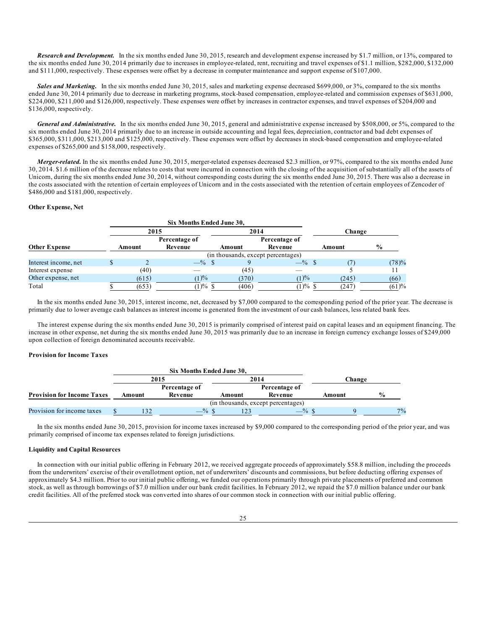*Research and Development.* In the six months ended June 30, 2015, research and development expense increased by \$1.7 million, or 13%, compared to the six months ended June 30, 2014 primarily due to increases in employee-related, rent, recruiting and travel expenses of \$1.1 million, \$282,000, \$132,000 and \$111,000, respectively. These expenses were offset by a decrease in computer maintenance and support expense of \$107,000.

**Sales and Marketing.** In the six months ended June 30, 2015, sales and marketing expense decreased \$699,000, or 3%, compared to the six months ended June 30, 2014 primarily due to decrease in marketing programs, stock-based compensation, employee-related and commission expenses of \$631,000, \$224,000, \$211,000 and \$126,000, respectively. These expenses were offset by increases in contractor expenses, and travel expenses of \$204,000 and \$136,000, respectively.

*General and Administrative.* In the six months ended June 30, 2015, general and administrative expense increased by \$508,000, or 5%, compared to the six months ended June 30, 2014 primarily due to an increase in outside accounting and legal fees, depreciation, contractor and bad debt expenses of \$365,000, \$311,000, \$213,000 and \$125,000, respectively. These expenses were offset by decreases in stock-based compensation and employee-related expenses of \$265,000 and \$158,000, respectively.

*Merger-related.* In the six months ended June 30, 2015, merger-related expenses decreased \$2.3 million, or 97%, compared to the six months ended June 30, 2014. \$1.6 million of the decrease relates to costs that were incurred in connection with the closing of the acquisition of substantially all of the assets of Unicorn, during the six months ended June 30, 2014, without corresponding costs during the six months ended June 30, 2015. There was also a decrease in the costs associated with the retention of certain employees of Unicorn and in the costs associated with the retention of certain employees of Zencoder of \$486,000 and \$181,000, respectively.

#### **Other Expense, Net**

|                      |        |                                    | Six Months Ended June 30, |        |               |        |               |  |  |
|----------------------|--------|------------------------------------|---------------------------|--------|---------------|--------|---------------|--|--|
|                      |        | 2015                               |                           |        | 2014          |        | Change        |  |  |
|                      |        |                                    | Percentage of             |        | Percentage of |        |               |  |  |
| <b>Other Expense</b> | Amount |                                    | Revenue                   | Amount | Revenue       | Amount | $\frac{0}{0}$ |  |  |
|                      |        | (in thousands, except percentages) |                           |        |               |        |               |  |  |
| Interest income, net |        |                                    | $-\%$ \$                  |        | $-\%$ \$      |        | (78)%         |  |  |
| Interest expense     |        | (40)                               |                           | (45)   |               |        |               |  |  |
| Other expense, net   |        | (615)                              | (1)%                      | (370)  | (1)%          | (245)  | (66)          |  |  |
| Total                |        | (653)                              | $(1) \%$ \$               | (406)  | $(1) \%$ \$   | (247)  | (61)%         |  |  |

In the six months ended June 30, 2015, interest income, net, decreased by \$7,000 compared to the corresponding period of the prior year. The decrease is primarily due to lower average cash balances as interest income is generated from the investment of our cash balances, less related bank fees.

The interest expense during the six months ended June 30, 2015 is primarily comprised of interest paid on capital leases and an equipment financing. The increase in other expense, net during the six months ended June 30, 2015 was primarily due to an increase in foreign currency exchange losses of \$249,000 upon collection of foreign denominated accounts receivable.

#### **Provision for Income Taxes**

|                                   |      |        | Six Months Ended June 30. |        |                                    |        |               |    |  |
|-----------------------------------|------|--------|---------------------------|--------|------------------------------------|--------|---------------|----|--|
|                                   | 2015 |        |                           | 2014   |                                    |        | Change        |    |  |
|                                   |      |        | Percentage of             |        | Percentage of                      |        |               |    |  |
| <b>Provision for Income Taxes</b> |      | Amount | Revenue                   | Amount | Revenue                            | Amount | $\frac{6}{9}$ |    |  |
|                                   |      |        |                           |        | (in thousands, except percentages) |        |               |    |  |
| Provision for income taxes        |      |        | $-$ % \$                  |        | $-$ % \$                           |        |               | 7% |  |

In the six months ended June 30, 2015, provision for income taxes increased by \$9,000 compared to the corresponding period of the prior year, and was primarily comprised of income tax expenses related to foreign jurisdictions.

### **Liquidity and Capital Resources**

In connection with our initial public offering in February 2012, we received aggregate proceeds of approximately \$58.8 million, including the proceeds from the underwriters' exercise of their overallotment option, net of underwriters' discounts and commissions, but before deducting offering expenses of approximately \$4.3 million. Prior to our initial public offering, we funded our operations primarily through private placements of preferred and common stock, as well as through borrowings of \$7.0 million under our bank credit facilities. In February 2012, we repaid the \$7.0 million balance under our bank credit facilities. All of the preferred stock was converted into shares of our common stock in connection with our initial public offering.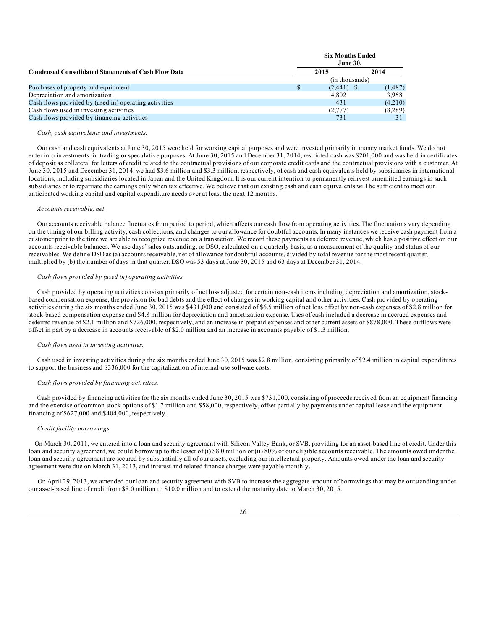|                                                            |   | <b>Six Months Ended</b><br><b>June 30,</b> |          |
|------------------------------------------------------------|---|--------------------------------------------|----------|
| <b>Condensed Consolidated Statements of Cash Flow Data</b> |   | 2015                                       | 2014     |
|                                                            |   | (in thousands)                             |          |
| Purchases of property and equipment                        | S | $(2,441)$ \$                               | (1, 487) |
| Depreciation and amortization                              |   | 4.802                                      | 3,958    |
| Cash flows provided by (used in) operating activities      |   | 431                                        | (4,210)  |
| Cash flows used in investing activities                    |   | (2,777)                                    | (8,289)  |
| Cash flows provided by financing activities                |   | 731                                        |          |

#### *Cash, cash equivalents and investments.*

Our cash and cash equivalents at June 30, 2015 were held for working capital purposes and were invested primarily in money market funds. We do not enter into investments for trading or speculative purposes. At June 30, 2015 and December 31, 2014, restricted cash was \$201,000 and was held in certificates of deposit as collateral for letters of credit related to the contractual provisions of our corporate credit cards and the contractual provisions with a customer. At June 30, 2015 and December 31, 2014, we had \$3.6 million and \$3.3 million, respectively, of cash and cash equivalents held by subsidiaries in international locations, including subsidiaries located in Japan and the United Kingdom. It is our current intention to permanently reinvest unremitted earnings in such subsidiaries or to repatriate the earnings only when tax effective. We believe that our existing cash and cash equivalents will be sufficient to meet our anticipated working capital and capital expenditure needs over at least the next 12 months.

#### *Accounts receivable, net.*

Our accounts receivable balance fluctuates from period to period, which affects our cash flow from operating activities. The fluctuations vary depending on the timing of our billing activity, cash collections, and changes to our allowance for doubtful accounts. In many instances we receive cash payment from a customer prior to the time we are able to recognize revenue on a transaction. We record these payments as deferred revenue, which has a positive effect on our accounts receivable balances. We use days' sales outstanding, or DSO, calculated on a quarterly basis, as a measurement of the quality and status of our receivables. We define DSO as (a) accounts receivable, net of allowance for doubtful accounts, divided by total revenue for the most recent quarter, multiplied by (b) the number of days in that quarter. DSO was 53 days at June 30, 2015 and 63 days at December 31, 2014.

### *Cash flows provided by (used in) operating activities.*

Cash provided by operating activities consists primarily of net loss adjusted for certain non-cash items including depreciation and amortization, stockbased compensation expense, the provision for bad debts and the effect of changes in working capital and other activities. Cash provided by operating activities during the six months ended June 30, 2015 was \$431,000 and consisted of \$6.5 million of net loss offset by non-cash expenses of \$2.8 million for stock-based compensation expense and \$4.8 million for depreciation and amortization expense. Uses of cash included a decrease in accrued expenses and deferred revenue of \$2.1 million and \$726,000, respectively, and an increase in prepaid expenses and other current assets of \$878,000. These outflows were offset in part by a decrease in accounts receivable of \$2.0 million and an increase in accounts payable of \$1.3 million.

#### *Cash flows used in investing activities.*

Cash used in investing activities during the six months ended June 30, 2015 was \$2.8 million, consisting primarily of \$2.4 million in capital expenditures to support the business and \$336,000 for the capitalization of internal-use software costs.

#### *Cash flows provided by financing activities.*

Cash provided by financing activities for the six months ended June 30, 2015 was \$731,000, consisting of proceeds received from an equipment financing and the exercise of common stock options of \$1.7 million and \$58,000, respectively, offset partially by payments under capital lease and the equipment financing of \$627,000 and \$404,000, respectively.

#### *Credit facility borrowings.*

On March 30, 2011, we entered into a loan and security agreement with Silicon Valley Bank, or SVB, providing for an asset-based line of credit. Under this loan and security agreement, we could borrow up to the lesser of (i) \$8.0 million or (ii) 80% of our eligible accounts receivable. The amounts owed under the loan and security agreement are secured by substantially all of our assets, excluding our intellectual property. Amounts owed under the loan and security agreement were due on March 31, 2013, and interest and related finance charges were payable monthly.

On April 29, 2013, we amended our loan and security agreement with SVB to increase the aggregate amount of borrowings that may be outstanding under our asset-based line of credit from \$8.0 million to \$10.0 million and to extend the maturity date to March 30, 2015.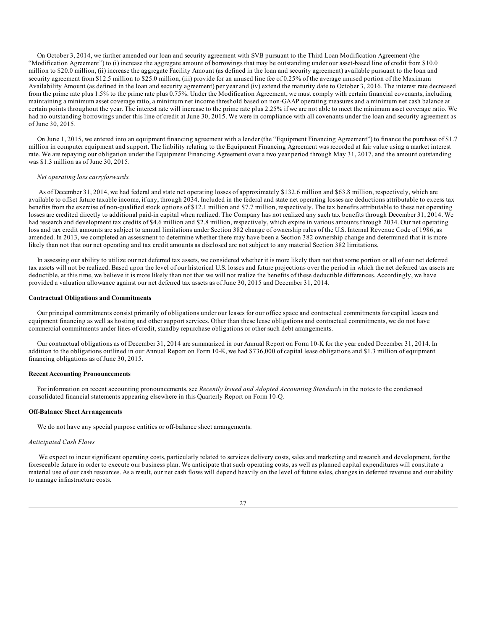On October 3, 2014, we further amended our loan and security agreement with SVB pursuant to the Third Loan Modification Agreement (the "Modification Agreement") to (i) increase the aggregate amount of borrowings that may be outstanding under our asset-based line of credit from \$10.0 million to \$20.0 million, (ii) increase the aggregate Facility Amount (as defined in the loan and security agreement) available pursuant to the loan and security agreement from \$12.5 million to \$25.0 million, (iii) provide for an unused line fee of 0.25% of the average unused portion of the Maximum Availability Amount (as defined in the loan and security agreement) per year and (iv) extend the maturity date to October 3, 2016. The interest rate decreased from the prime rate plus 1.5% to the prime rate plus 0.75%. Under the Modification Agreement, we must comply with certain financial covenants, including maintaining a minimum asset coverage ratio, a minimum net income threshold based on non-GAAP operating measures and a minimum net cash balance at certain points throughout the year. The interest rate will increase to the prime rate plus 2.25% if we are not able to meet the minimum asset coverage ratio. We had no outstanding borrowings under this line of credit at June 30, 2015. We were in compliance with all covenants under the loan and security agreement as of June 30, 2015.

On June 1, 2015, we entered into an equipment financing agreement with a lender (the "Equipment Financing Agreement") to finance the purchase of \$1.7 million in computer equipment and support. The liability relating to the Equipment Financing Agreement was recorded at fair value using a market interest rate. We are repaying our obligation under the Equipment Financing Agreement over a two year period through May 31, 2017, and the amount outstanding was \$1.3 million as of June 30, 2015.

#### *Net operating loss carryforwards.*

As of December 31, 2014, we had federal and state net operating losses of approximately \$132.6 million and \$63.8 million, respectively, which are available to offset future taxable income, if any, through 2034. Included in the federal and state net operating losses are deductions attributable to excess tax benefits from the exercise of non-qualified stock options of \$12.1 million and \$7.7 million, respectively. The tax benefits attributable to these net operating losses are credited directly to additional paid-in capital when realized. The Company has not realized any such tax benefits through December 31, 2014. We had research and development tax credits of \$4.6 million and \$2.8 million, respectively, which expire in various amounts through 2034. Our net operating loss and tax credit amounts are subject to annual limitations under Section 382 change of ownership rules of the U.S. Internal Revenue Code of 1986, as amended. In 2013, we completed an assessment to determine whether there may have been a Section 382 ownership change and determined that it is more likely than not that our net operating and tax credit amounts as disclosed are not subject to any material Section 382 limitations.

In assessing our ability to utilize our net deferred tax assets, we considered whether it is more likely than not that some portion or all of our net deferred tax assets will not be realized. Based upon the level of our historical U.S. losses and future projections over the period in which the net deferred tax assets are deductible, at this time, we believe it is more likely than not that we will not realize the benefits of these deductible differences. Accordingly, we have provided a valuation allowance against our net deferred tax assets as of June 30, 2015 and December 31, 2014.

#### **Contractual Obligations and Commitments**

Our principal commitments consist primarily of obligations under our leases for our office space and contractual commitments for capital leases and equipment financing as well as hosting and other support services. Other than these lease obligations and contractual commitments, we do not have commercial commitments under lines of credit, standby repurchase obligations or other such debt arrangements.

Our contractual obligations as of December 31, 2014 are summarized in our Annual Report on Form 10-K for the year ended December 31, 2014. In addition to the obligations outlined in our Annual Report on Form 10-K, we had \$736,000 of capital lease obligations and \$1.3 million of equipment financing obligations as of June 30, 2015.

#### **Recent Accounting Pronouncements**

For information on recent accounting pronouncements, see *Recently Issued and Adopted Accounting Standards* in the notes to the condensed consolidated financial statements appearing elsewhere in this Quarterly Report on Form 10-Q.

#### **Off-Balance Sheet Arrangements**

We do not have any special purpose entities or off-balance sheet arrangements.

#### *Anticipated Cash Flows*

We expect to incur significant operating costs, particularly related to services delivery costs, sales and marketing and research and development, for the foreseeable future in order to execute our business plan. We anticipate that such operating costs, as well as planned capital expenditures will constitute a material use of our cash resources. As a result, our net cash flows will depend heavily on the level of future sales, changes in deferred revenue and our ability to manage infrastructure costs.

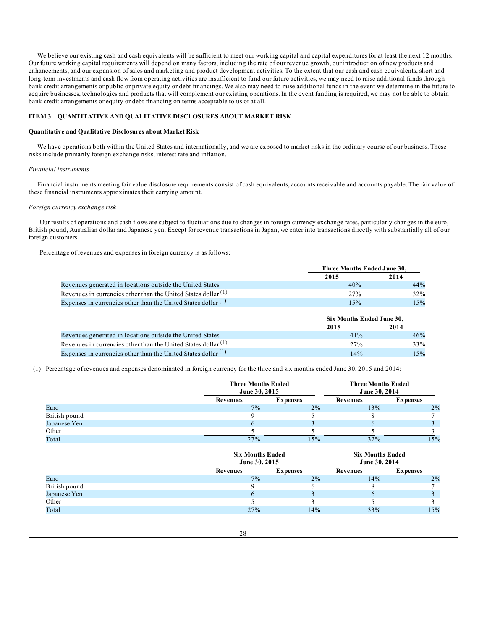<span id="page-27-0"></span>We believe our existing cash and cash equivalents will be sufficient to meet our working capital and capital expenditures for at least the next 12 months. Our future working capital requirements will depend on many factors, including the rate of our revenue growth, our introduction of new products and enhancements, and our expansion of sales and marketing and product development activities. To the extent that our cash and cash equivalents, short and long-term investments and cash flow from operating activities are insufficient to fund our future activities, we may need to raise additional funds through bank credit arrangements or public or private equity or debt financings. We also may need to raise additional funds in the event we determine in the future to acquire businesses, technologies and products that will complement our existing operations. In the event funding is required, we may not be able to obtain bank credit arrangements or equity or debt financing on terms acceptable to us or at all.

# **ITEM 3. QUANTITATIVE AND QUALITATIVE DISCLOSURES ABOUT MARKET RISK**

### **Quantitative and Qualitative Disclosures about Market Risk**

We have operations both within the United States and internationally, and we are exposed to market risks in the ordinary course of our business. These risks include primarily foreign exchange risks, interest rate and inflation.

#### *Financial instruments*

Financial instruments meeting fair value disclosure requirements consist of cash equivalents, accounts receivable and accounts payable. The fair value of these financial instruments approximates their carrying amount.

#### *Foreign currency exchange risk*

Our results of operations and cash flows are subject to fluctuations due to changes in foreign currency exchange rates, particularly changes in the euro, British pound, Australian dollar and Japanese yen. Except for revenue transactions in Japan, we enter into transactions directly with substantially all of our foreign customers.

Percentage of revenues and expenses in foreign currency is as follows:

|                                                                  | Three Months Ended June 30, |        |  |
|------------------------------------------------------------------|-----------------------------|--------|--|
|                                                                  | 2015                        | 2014   |  |
| Revenues generated in locations outside the United States        | 40%                         | 44%    |  |
| Revenues in currencies other than the United States dollar $(1)$ | 27%                         | $32\%$ |  |
| Expenses in currencies other than the United States dollar $(1)$ | 15%                         | 15%    |  |

|                                                                  |         | Six Months Ended June 30. |  |
|------------------------------------------------------------------|---------|---------------------------|--|
|                                                                  | 2015    | 2014                      |  |
| Revenues generated in locations outside the United States        | 41%     | 46%                       |  |
| Revenues in currencies other than the United States dollar $(1)$ | $2.7\%$ | 33%                       |  |
| Expenses in currencies other than the United States dollar $(1)$ | 14%     | 15%                       |  |

(1) Percentage of revenues and expenses denominated in foreign currency for the three and six months ended June 30, 2015 and 2014:

|               |          | <b>Three Months Ended</b><br>June 30, 2015 |          | <b>Three Months Ended</b><br>June 30, 2014 |  |
|---------------|----------|--------------------------------------------|----------|--------------------------------------------|--|
|               | Revenues | <b>Expenses</b>                            | Revenues | <b>Expenses</b>                            |  |
| Euro          | 7%       | 2%                                         | 13%      | 2%                                         |  |
| British pound |          |                                            |          |                                            |  |
| Japanese Yen  |          |                                            |          |                                            |  |
| Other         |          |                                            |          |                                            |  |
| Total         | 27%      | 15%                                        | 32%      | 15%                                        |  |

|               |                 | <b>Six Months Ended</b><br>June 30, 2015 |                 | <b>Six Months Ended</b><br>June 30, 2014 |  |
|---------------|-----------------|------------------------------------------|-----------------|------------------------------------------|--|
|               | <b>Revenues</b> | <b>Expenses</b>                          | <b>Revenues</b> | <b>Expenses</b>                          |  |
| Euro          | $7\%$           | 2%                                       | 14%             | 2%                                       |  |
| British pound |                 |                                          |                 |                                          |  |
| Japanese Yen  |                 |                                          |                 |                                          |  |
| Other         |                 |                                          |                 |                                          |  |
| Total         | 27%             | 14%                                      | 33%             | 15%                                      |  |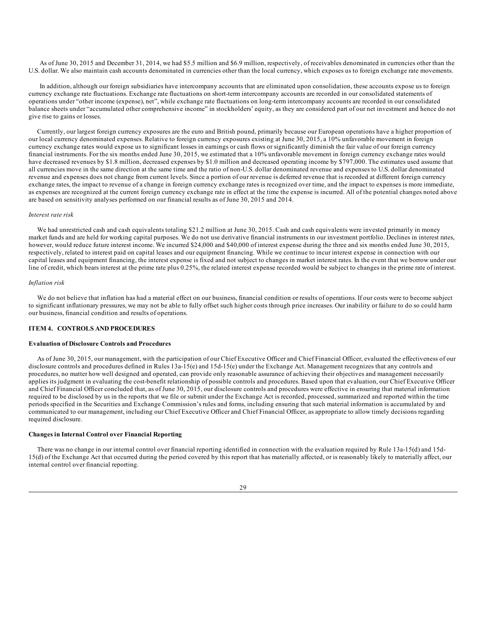<span id="page-28-0"></span>As of June 30, 2015 and December 31, 2014, we had \$5.5 million and \$6.9 million, respectively, of receivables denominated in currencies other than the U.S. dollar. We also maintain cash accounts denominated in currencies other than the local currency, which exposes us to foreign exchange rate movements.

In addition, although our foreign subsidiaries have intercompany accounts that are eliminated upon consolidation, these accounts expose us to foreign currency exchange rate fluctuations. Exchange rate fluctuations on short-term intercompany accounts are recorded in our consolidated statements of operations under "other income (expense), net", while exchange rate fluctuations on long-term intercompany accounts are recorded in our consolidated balance sheets under "accumulated other comprehensive income" in stockholders' equity, as they are considered part of our net investment and hence do not give rise to gains or losses.

Currently, our largest foreign currency exposures are the euro and British pound, primarily because our European operations have a higher proportion of our local currency denominated expenses. Relative to foreign currency exposures existing at June 30, 2015, a 10% unfavorable movement in foreign currency exchange rates would expose us to significant losses in earnings or cash flows or significantly diminish the fair value of our foreign currency financial instruments. For the six months ended June 30, 2015, we estimated that a 10% unfavorable movement in foreign currency exchange rates would have decreased revenues by \$1.8 million, decreased expenses by \$1.0 million and decreased operating income by \$797,000. The estimates used assume that all currencies move in the same direction at the same time and the ratio of non-U.S. dollar denominated revenue and expenses to U.S. dollar denominated revenue and expenses does not change from current levels. Since a portion of our revenue is deferred revenue that is recorded at different foreign currency exchange rates, the impact to revenue of a change in foreign currency exchange rates is recognized over time, and the impact to expenses is more immediate, as expenses are recognized at the current foreign currency exchange rate in effect at the time the expense is incurred. All of the potential changes noted above are based on sensitivity analyses performed on our financial results as of June 30, 2015 and 2014.

#### *Interest rate risk*

We had unrestricted cash and cash equivalents totaling \$21.2 million at June 30, 2015. Cash and cash equivalents were invested primarily in money market funds and are held for working capital purposes. We do not use derivative financial instruments in our investment portfolio. Declines in interest rates, however, would reduce future interest income. We incurred \$24,000 and \$40,000 of interest expense during the three and six months ended June 30, 2015, respectively, related to interest paid on capital leases and our equipment financing. While we continue to incur interest expense in connection with our capital leases and equipment financing, the interest expense is fixed and not subject to changes in market interest rates. In the event that we borrow under our line of credit, which bears interest at the prime rate plus 0.25%, the related interest expense recorded would be subject to changes in the prime rate of interest.

### *Inflation risk*

We do not believe that inflation has had a material effect on our business, financial condition or results of operations. If our costs were to become subject to significant inflationary pressures, we may not be able to fully offset such higher costs through price increases. Our inability or failure to do so could harm our business, financial condition and results of operations.

## **ITEM 4. CONTROLS AND PROCEDURES**

### **Evaluation of Disclosure Controls and Procedures**

As of June 30, 2015, our management, with the participation of our Chief Executive Officer and Chief Financial Officer, evaluated the effectiveness of our disclosure controls and procedures defined in Rules 13a-15(e) and 15d-15(e) under the Exchange Act. Management recognizes that any controls and procedures, no matter how well designed and operated, can provide only reasonable assurance of achieving their objectives and management necessarily applies its judgment in evaluating the cost-benefit relationship of possible controls and procedures. Based upon that evaluation, our Chief Executive Officer and Chief Financial Officer concluded that, as of June 30, 2015, our disclosure controls and procedures were effective in ensuring that material information required to be disclosed by us in the reports that we file or submit under the Exchange Act is recorded, processed, summarized and reported within the time periods specified in the Securities and Exchange Commission's rules and forms, including ensuring that such material information is accumulated by and communicated to our management, including our Chief Executive Officer and Chief Financial Officer, as appropriate to allow timely decisions regarding required disclosure.

### **Changes in Internal Control over Financial Reporting**

There was no change in our internal control over financial reporting identified in connection with the evaluation required by Rule 13a-15(d) and 15d-15(d) of the Exchange Act that occurred during the period covered by this report that has materially affected, or is reasonably likely to materially affect, our internal control over financial reporting.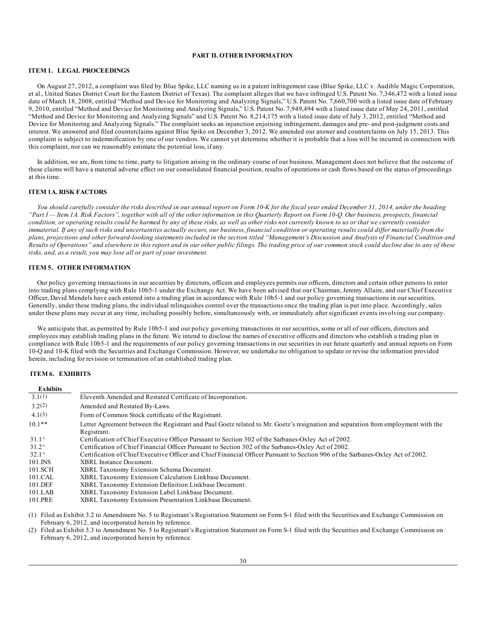## **PART II. OTHER INFORMATION**

## <span id="page-29-0"></span>**ITEM 1. LEGAL PROCEEDINGS**

On August 27, 2012, a complaint was filed by Blue Spike, LLC naming us in a patent infringement case (Blue Spike, LLC v. Audible Magic Corporation, et al., United States District Court for the Eastern District of Texas). The complaint alleges that we have infringed U.S. Patent No. 7,346,472 with a listed issue date of March 18, 2008, entitled "Method and Device for Monitoring and Analyzing Signals," U.S. Patent No. 7,660,700 with a listed issue date of February 9, 2010, entitled "Method and Device for Monitoring and Analyzing Signals," U.S. Patent No. 7,949,494 with a listed issue date of May 24, 2011, entitled "Method and Device for Monitoring and Analyzing Signals" and U.S. Patent No. 8,214,175 with a listed issue date of July 3, 2012, entitled "Method and Device for Monitoring and Analyzing Signals." The complaint seeks an injunction enjoining infringement, damages and pre- and post-judgment costs and interest. We answered and filed counterclaims against Blue Spike on December 3, 2012. We amended our answer and counterclaims on July 15, 2013. This complaint is subject to indemnification by one of our vendors. We cannot yet determine whether it is probable that a loss will be incurred in connection with this complaint, nor can we reasonably estimate the potential loss, if any.

In addition, we are, from time to time, party to litigation arising in the ordinary course of our business. Management does not believe that the outcome of these claims will have a material adverse effect on our consolidated financial position, results of operations or cash flows based on the status of proceedings at this time.

## **ITEM 1A. RISK FACTORS**

You should carefully consider the risks described in our annual report on Form 10-K for the fiscal year ended December 31, 2014, under the heading "Part I - Item 1A. Risk Factors", together with all of the other information in this Quarterly Report on Form 10-Q. Our business, prospects, financial condition, or operating results could be harmed by any of these risks, as well as other risks not currently known to us or that we currently consider immaterial. If any of such risks and uncertainties actually occurs, our business, financial condition or operating results could differ materially from the plans, projections and other forward-looking statements included in the section titled "Management's Discussion and Analysis of Financial Condition and .<br>Results of Operations" and elsewhere in this report and in our other public filings. The trading price of our common stock could decline due to any of these *risks, and, as a result, you may lose all or part of your investment.*

## **ITEM 5. OTHER INFORMATION**

Our policy governing transactions in our securities by directors, officers and employees permits our officers, directors and certain other persons to enter into trading plans complying with Rule 10b5-1 under the Exchange Act. We have been advised that our Chairman, Jeremy Allaire, and our Chief Executive Officer, David Mendels have each entered into a trading plan in accordance with Rule 10b5-1 and our policy governing transactions in our securities. Generally, under these trading plans, the individual relinquishes control over the transactions once the trading plan is put into place. Accordingly, sales under these plans may occur at any time, including possibly before, simultaneously with, or immediately after significant events involving our company.

We anticipate that, as permitted by Rule 10b5-1 and our policy governing transactions in our securities, some or all of our officers, directors and employees may establish trading plans in the future. We intend to disclose the names of executive officers and directors who establish a trading plan in compliance with Rule 10b5-1 and the requirements of our policy governing transactions in our securities in our future quarterly and annual reports on Form 10-Q and 10-K filed with the Securities and Exchange Commission. However, we undertake no obligation to update or revise the information provided herein, including for revision or termination of an established trading plan.

### **ITEM 6. EXHIBITS**

| <b>Exhibits</b> |                                                                                                                                                  |
|-----------------|--------------------------------------------------------------------------------------------------------------------------------------------------|
| 3.1(1)          | Eleventh Amended and Restated Certificate of Incorporation.                                                                                      |
| 3.2(2)          | Amended and Restated By-Laws.                                                                                                                    |
| 4.1(3)          | Form of Common Stock certificate of the Registrant.                                                                                              |
| $10.1**$        | Letter Agreement between the Registrant and Paul Goetz related to Mr. Goetz's resignation and separation from employment with the<br>Registrant. |
| $31.1^{\circ}$  | Certification of Chief Executive Officer Pursuant to Section 302 of the Sarbanes-Oxley Act of 2002.                                              |
| $31.2^{\circ}$  | Certification of Chief Financial Officer Pursuant to Section 302 of the Sarbanes-Oxley Act of 2002.                                              |
| $32.1^{\circ}$  | Certification of Chief Executive Officer and Chief Financial Officer Pursuant to Section 906 of the Sarbanes-Oxley Act of 2002.                  |
| 101.INS         | XBRL Instance Document.                                                                                                                          |
| 101.SCH         | <b>XBRL Taxonomy Extension Schema Document.</b>                                                                                                  |
| 101.CAL         | XBRL Taxonomy Extension Calculation Linkbase Document.                                                                                           |
| 101.DEF         | XBRL Taxonomy Extension Definition Linkbase Document.                                                                                            |
| $101$ .LAB      | XBRL Taxonomy Extension Label Linkbase Document.                                                                                                 |
| 101.PRE         | XBRL Taxonomy Extension Presentation Linkbase Document.                                                                                          |

(1) Filed as Exhibit 3.2 to Amendment No. 5 to Registrant's Registration Statement on Form S-1 filed with the Securities and Exchange Commission on February 6, 2012, and incorporated herein by reference.

(2) Filed as Exhibit 3.3 to Amendment No. 5 to Registrant's Registration Statement on Form S-1 filed with the Securities and Exchange Commission on February 6, 2012, and incorporated herein by reference.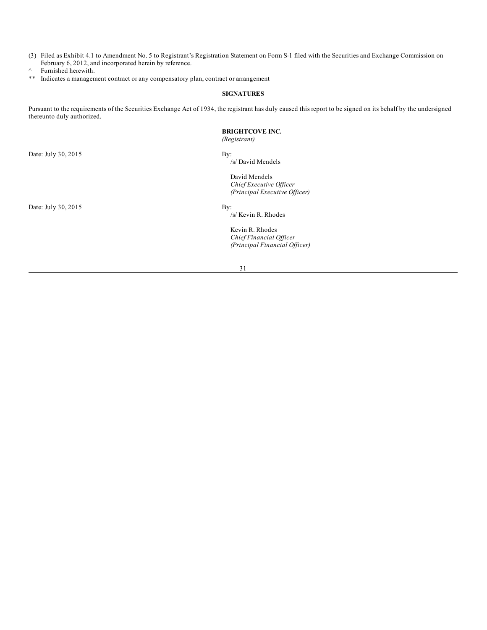- <span id="page-30-0"></span>(3) Filed as Exhibit 4.1 to Amendment No. 5 to Registrant's Registration Statement on Form S-1 filed with the Securities and Exchange Commission on February 6, 2012, and incorporated herein by reference.
- $^{\wedge}$  Furnished herewith.<br>\*\* Indicates a managem
- Indicates a management contract or any compensatory plan, contract or arrangement

### **SIGNATURES**

Pursuant to the requirements of the Securities Exchange Act of 1934, the registrant has duly caused this report to be signed on its behalf by the undersigned thereunto duly authorized.

# **BRIGHTCOVE INC.**

*(Registrant)*

Date: July 30, 2015 By:

/s/ David Mendels

David Mendels *Chief Executive Of icer (Principal Executive Of icer)*

Date: July  $30, 2015$  By:

/s/ Kevin R. Rhodes

Kevin R. Rhodes *Chief Financial Of icer (Principal Financial Of icer)*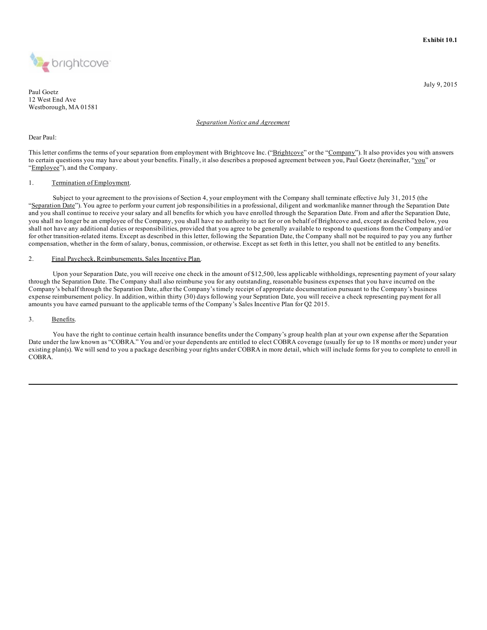

Paul Goetz 12 West End Ave Westborough, MA 01581

## *Separation Notice and Agreement*

### Dear Paul:

This letter confirms the terms of your separation from employment with Brightcove Inc. ("Brightcove" or the "Company"). It also provides you with answers to certain questions you may have about your benefits. Finally, it also describes a proposed agreement between you, Paul Goetz (hereinafter, "you" or "Employee"), and the Company.

## 1. Termination of Employment.

Subject to your agreement to the provisions of Section 4, your employment with the Company shall terminate effective July 31, 2015 (the "Separation Date"). You agree to perform your current job responsibilities in a professional, diligent and workmanlike manner through the Separation Date and you shall continue to receive your salary and all benefits for which you have enrolled through the Separation Date. From and after the Separation Date, you shall no longer be an employee of the Company, you shall have no authority to act for or on behalf of Brightcove and, except as described below, you shall not have any additional duties or responsibilities, provided that you agree to be generally available to respond to questions from the Company and/or for other transition-related items. Except as described in this letter, following the Separation Date, the Company shall not be required to pay you any further compensation, whether in the form of salary, bonus, commission, or otherwise. Except as set forth in this letter, you shall not be entitled to any benefits.

## 2. Final Paycheck, Reimbursements, Sales Incentive Plan.

Upon your Separation Date, you will receive one check in the amount of \$12,500, less applicable withholdings, representing payment of your salary through the Separation Date. The Company shall also reimburse you for any outstanding, reasonable business expenses that you have incurred on the Company's behalf through the Separation Date, after the Company's timely receipt of appropriate documentation pursuant to the Company's business expense reimbursement policy. In addition, within thirty (30) days following your Sepration Date, you will receive a check representing payment for all amounts you have earned pursuant to the applicable terms of the Company's Sales Incentive Plan for Q2 2015.

## 3. Benefits.

You have the right to continue certain health insurance benefits under the Company's group health plan at your own expense after the Separation Date under the law known as "COBRA." You and/or your dependents are entitled to elect COBRA coverage (usually for up to 18 months or more) under your existing plan(s). We will send to you a package describing your rights under COBRA in more detail, which will include forms for you to complete to enroll in COBRA.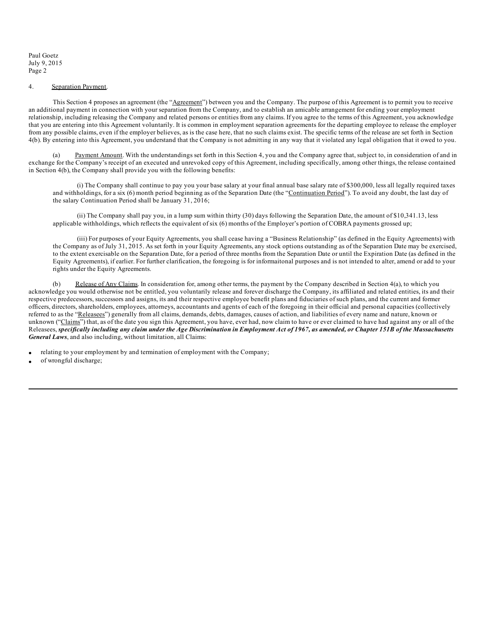## 4. [Separation](#page-2-0) Payment.

This Section 4 proposes an [agreement](#page-2-0) (the "Agreement") between you and the Company. The purpose of this Agreement is to permit you to receive an additional payment in [connection](#page-2-0) with your separation from the Company, and to establish an amicable arrangement for ending your employment relationship, including releasing the [Company](#page-3-0) and related persons or entities from any claims. If you agree to the terms of this Agreement, you acknowledge that you are entering into this Agreement voluntarily. It is common in [employment](#page-4-0) separation agreements for the departing employee to release the employer from any possible claims, even if the [employer](#page-5-0) believes, as is the case here, that no such claims exist. The specific terms of the release are set forth in Section 4(b). By entering into this [Agreement,](#page-7-0) you understand that the Company is not admitting in any way that it violated any legal obligation that it owed to you.

(a) Payment Amount. With the [understandings](#page-12-0) set forth in this Section 4, you and the Company agree that, subject to, in consideration of and in exchange for the Company's receipt of an executed and unrevoked copy of this Agreement, including specifically, among other things, the release contained in Section 4(b), the Company shall provide you with the [following](#page-27-0) benefits:

(i) The [Company](#page-28-0) shall continue to pay you your base salary at your final annual base salary rate of \$300,000, less all legally required taxes and withholdings, for a six (6) month period beginning as of the Separation Date (the "Continuation Period"). To avoid any doubt, the last day of the salary [Continuation](#page-29-0) Period shall be January 31, 2016;

(ii) The [Company](#page-29-0) shall pay you, in a lump sum within thirty (30) days following the Separation Date, the amount of \$10,341.13, less applicable [withholding](#page-29-0)s, which reflects the equivalent of six (6) months of the Employer's portion of COBRA payments grossed up;

(iii) For purposes of your Equity Agreements, you shall cease having a "Business Relationship" (as defined in the Equity Agreements) with the [Company](#page-29-0) as of July 31, 2015. As set forth in your Equity Agreements, any stock options outstanding as of the Separation Date may be exercised, to the extent exercisable on the Separation Date, for a period of three months from the Separation Date or until the Expiration Date (as defined in the Equity [Agreemen](#page-29-0)ts), if earlier. For further clarification, the foregoing is for informaitonal purposes and is not intended to alter, amend or add to your [rig](#page-30-0)hts under the Equity Agreements.

(b) Release of Any Claims. In consideration for, among other terms, the payment by the Company described in Section  $4(a)$ , to which you acknowledge you would otherwise not be entitled, you voluntarily release and forever discharge the Company, its affiliated and related entities, its and their respective predecessors, successors and assigns, its and their respective employee benefit plans and fiduciaries of such plans, and the current and former officers, directors, shareholders, employees, attorneys, accountants and agents of each of the foregoing in their official and personal capacities (collectively referred to as the "Releasees") generally from all claims, demands, debts, damages, causes of action, and liabilities of every name and nature, known or unknown ("Claims") that, as of the date you sign this Agreement, you have, ever had, now claim to have or ever claimed to have had against any or all of the Releasees, specifically including any claim under the Age Discrimination in Employment Act of 1967, as amended, or Chapter 151B of the Massachusetts *General Laws*, and also including, without limitation, all Claims:

relating to your employment by and termination of employment with the Company;

of wrongful discharge;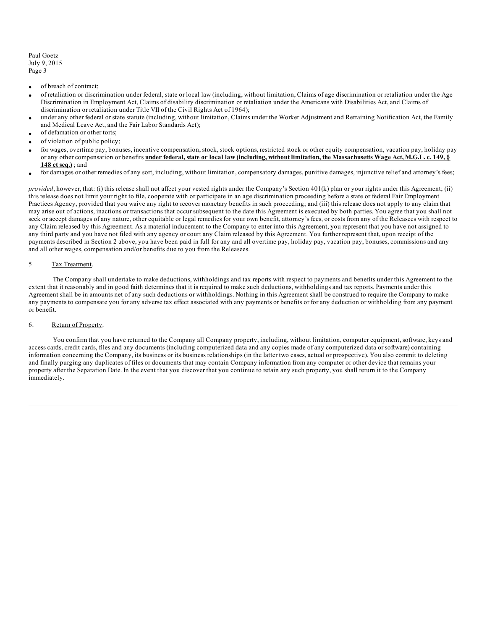- · of breach of contract;
- · of retaliation or discrimination under federal, state or local law (including, without limitation, Claims of age discrimination or retaliation under the Age Discrimination in Employment Act, Claims of disability discrimination or retaliation under the Americans with Disabilities Act, and Claims of discrimination or retaliation under Title VII of the Civil Rights Act of 1964);
- under any other federal or state statute (including, without limitation, Claims under the Worker Adjustment and Retraining Notification Act, the Family and Medical Leave Act, and the Fair Labor Standards Act);
- of defamation or other torts;
- of violation of public policy;
- · for wages, overtime pay, bonuses, incentive compensation, stock, stock options, restricted stock or other equity compensation, vacation pay, holiday pay or any other compensation or benefits under federal, state or local law (including, without limitation, the Massachusetts Wage Act, M.G.L. c. 149, § **148 et seq.)** ; and
- for damages or other remedies of any sort, including, without limitation, compensatory damages, punitive damages, injunctive relief and attorney's fees;

*provided*, however, that: (i) this release shall not affect your vested rights under the Company's Section 401(k) plan or your rights under this Agreement; (ii) this release does not limit your right to file, cooperate with or participate in an age discrimination proceeding before a state or federal Fair Employment Practices Agency, provided that you waive any right to recover monetary benefits in such proceeding; and (iii) this release does not apply to any claim that may arise out of actions, inactions or transactions that occur subsequent to the date this Agreement is executed by both parties. You agree that you shall not seek or accept damages of any nature, other equitable or legal remedies for your own benefit, attorney's fees, or costs from any of the Releasees with respect to any Claim released by this Agreement. As a material inducement to the Company to enter into this Agreement, you represent that you have not assigned to any third party and you have not filed with any agency or court any Claim released by this Agreement. You further represent that, upon receipt of the payments described in Section 2 above, you have been paid in full for any and all overtime pay, holiday pay, vacation pay, bonuses, commissions and any and all other wages, compensation and/or benefits due to you from the Releasees.

## 5. Tax Treatment.

The Company shall undertake to make deductions, withholdings and tax reports with respect to payments and benefits under this Agreement to the extent that it reasonably and in good faith determines that it is required to make such deductions, withholdings and tax reports. Payments under this Agreement shall be in amounts net of any such deductions or withholdings. Nothing in this Agreement shall be construed to require the Company to make any payments to compensate you for any adverse tax effect associated with any payments or benefits or for any deduction or withholding from any payment or benefit.

## 6. Return of Property.

You confirm that you have returned to the Company all Company property, including, without limitation, computer equipment, software, keys and access cards, credit cards, files and any documents (including computerized data and any copies made of any computerized data or software) containing information concerning the Company, its business or its business relationships (in the latter two cases, actual or prospective). You also commit to deleting and finally purging any duplicates of files or documents that may contain Company information from any computer or other device that remains your property after the Separation Date. In the event that you discover that you continue to retain any such property, you shall return it to the Company immediately.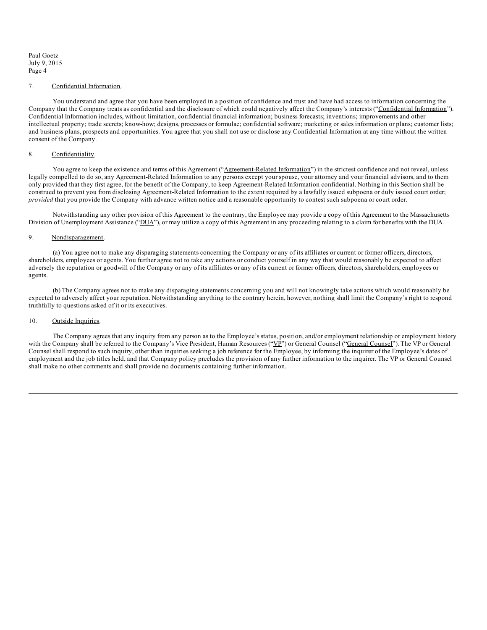#### 7. Confidential Information.

You understand and agree that you have been employed in a position of confidence and trust and have had access to information concerning the Company that the Company treats as confidential and the disclosure of which could negatively affect the Company's interests ("Confidential Information"). Confidential Information includes, without limitation, confidential financial information; business forecasts; inventions; improvements and other intellectual property; trade secrets; know-how; designs, processes or formulae; confidential software; marketing or sales information or plans; customer lists; and business plans, prospects and opportunities. You agree that you shall not use or disclose any Confidential Information at any time without the written consent of the Company.

## 8. Confidentiality.

You agree to keep the existence and terms of this Agreement ("Agreement-Related Information") in the strictest confidence and not reveal, unless legally compelled to do so, any Agreement-Related Information to any persons except your spouse, your attorney and your financial advisors, and to them only provided that they first agree, for the benefit of the Company, to keep Agreement-Related Information confidential. Nothing in this Section shall be construed to prevent you from disclosing Agreement-Related Information to the extent required by a lawfully issued subpoena or duly issued court order; *provided* that you provide the Company with advance written notice and a reasonable opportunity to contest such subpoena or court order.

Notwithstanding any other provision of this Agreement to the contrary, the Employee may provide a copy of this Agreement to the Massachusetts Division of Unemployment Assistance ("DUA"), or may utilize a copy of this Agreement in any proceeding relating to a claim for benefits with the DUA.

## 9. Nondisparagement.

(a) You agree not to make any disparaging statements concerning the Company or any of its affiliates or current or former officers, directors, shareholders, employees or agents. You further agree not to take any actions or conduct yourself in any way that would reasonably be expected to affect adversely the reputation or goodwill of the Company or any of its affiliates or any of its current or former officers, directors, shareholders, employees or agents.

(b) The Company agrees not to make any disparaging statements concerning you and will not knowingly take actions which would reasonably be expected to adversely affect your reputation. Notwithstanding anything to the contrary herein, however, nothing shall limit the Company's right to respond truthfully to questions asked of it or its executives.

#### 10. Outside Inquiries.

The Company agrees that any inquiry from any person as to the Employee's status, position, and/or employment relationship or employment history with the Company shall be referred to the Company's Vice President, Human Resources ("VP") or General Counsel ("General Counsel"). The VP or General Counsel shall respond to such inquiry, other than inquiries seeking a job reference for the Employee, by informing the inquirer of the Employee's dates of employment and the job titles held, and that Company policy precludes the provision of any further information to the inquirer. The VP or General Counsel shall make no other comments and shall provide no documents containing further information.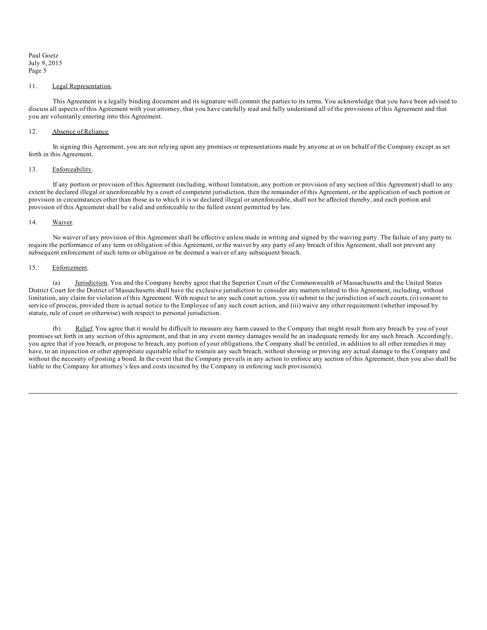#### 11. Legal Representation.

This Agreement is a legally binding document and its signature will commit the parties to its terms. You acknowledge that you have been advised to discuss all aspects of this Agreement with your attorney, that you have carefully read and fully understand all of the provisions of this Agreement and that you are voluntarily entering into this Agreement.

## 12. Absence of Reliance.

In signing this Agreement, you are not relying upon any promises or representations made by anyone at or on behalf of the Company except as set forth in this Agreement.

### 13. Enforceability.

If any portion or provision of this Agreement (including, without limitation, any portion or provision of any section of this Agreement) shall to any extent be declared illegal or unenforceable by a court of competent jurisdiction, then the remainder of this Agreement, or the application of such portion or provision in circumstances other than those as to which it is so declared illegal or unenforceable, shall not be affected thereby, and each portion and provision of this Agreement shall be valid and enforceable to the fullest extent permitted by law.

#### 14. Waiver.

No waiver of any provision of this Agreement shall be effective unless made in writing and signed by the waiving party. The failure of any party to require the performance of any term or obligation of this Agreement, or the waiver by any party of any breach of this Agreement, shall not prevent any subsequent enforcement of such term or obligation or be deemed a waiver of any subsequent breach.

### 15. Enforcement.

(a) Jurisdiction. You and the Company hereby agree that the Superior Court of the Commonwealth of Massachusetts and the United States District Court for the District of Massachusetts shall have the exclusive jurisdiction to consider any matters related to this Agreement, including, without limitation, any claim for violation of this Agreement. With respect to any such court action, you (i) submit to the jurisdiction of such courts, (ii) consent to service of process, provided there is actual notice to the Employee of any such court action, and (iii) waive any other requirement (whether imposed by statute, rule of court or otherwise) with respect to personal jurisdiction.

(b) Relief. You agree that it would be difficult to measure any harm caused to the Company that might result from any breach by you of your promises set forth in any section of this agreement, and that in any event money damages would be an inadequate remedy for any such breach. Accordingly, you agree that if you breach, or propose to breach, any portion of your obligations, the Company shall be entitled, in addition to all other remedies it may have, to an injunction or other appropriate equitable relief to restrain any such breach, without showing or proving any actual damage to the Company and without the necessity of posting a bond. In the event that the Company prevails in any action to enforce any section of this Agreement, then you also shall be liable to the Company for attorney's fees and costs incurred by the Company in enforcing such provision(s).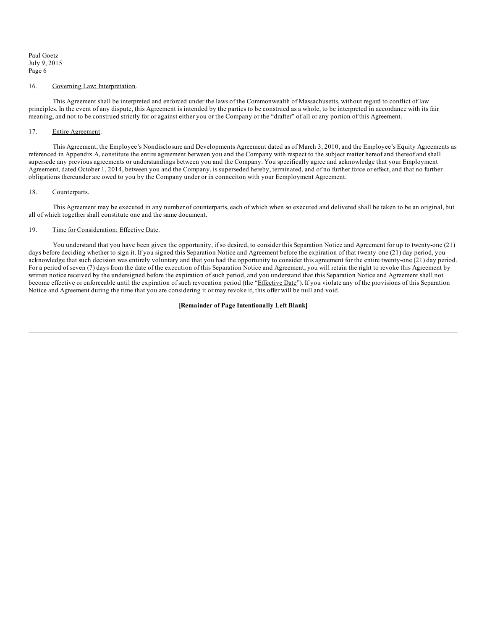### 16. Governing Law; Interpretation.

This Agreement shall be interpreted and enforced under the laws of the Commonwealth of Massachusetts, without regard to conflict of law principles. In the event of any dispute, this Agreement is intended by the parties to be construed as a whole, to be interpreted in accordance with its fair meaning, and not to be construed strictly for or against either you or the Company or the "drafter" of all or any portion of this Agreement.

#### 17. Entire Agreement.

This Agreement, the Employee's Nondisclosure and Developments Agreement dated as of March 3, 2010, and the Employee's Equity Agreements as referenced in Appendix A, constitute the entire agreement between you and the Company with respect to the subject matter hereof and thereof and shall supersede any previous agreements or understandings between you and the Company. You specifically agree and acknowledge that your Employment Agreement, dated October 1, 2014, between you and the Company, is superseded hereby, terminated, and of no further force or effect, and that no further obligations thereunder are owed to you by the Company under or in conneciton with your Eemployment Agreement.

#### 18. Counterparts.

This Agreement may be executed in any number of counterparts, each of which when so executed and delivered shall be taken to be an original, but all of which together shall constitute one and the same document.

### 19. Time for Consideration; Effective Date.

You understand that you have been given the opportunity, if so desired, to consider this Separation Notice and Agreement for up to twenty-one (21) days before deciding whether to sign it. If you signed this Separation Notice and Agreement before the expiration of that twenty-one (21) day period, you acknowledge that such decision was entirely voluntary and that you had the opportunity to consider this agreement for the entire twenty-one (21) day period. For a period of seven (7) days from the date of the execution of this Separation Notice and Agreement, you will retain the right to revoke this Agreement by written notice received by the undersigned before the expiration of such period, and you understand that this Separation Notice and Agreement shall not become effective or enforceable until the expiration of such revocation period (the "Effective Date"). If you violate any of the provisions of this Separation Notice and Agreement during the time that you are considering it or may revoke it, this offer will be null and void.

#### **[Remainder of Page Intentionally Left Blank]**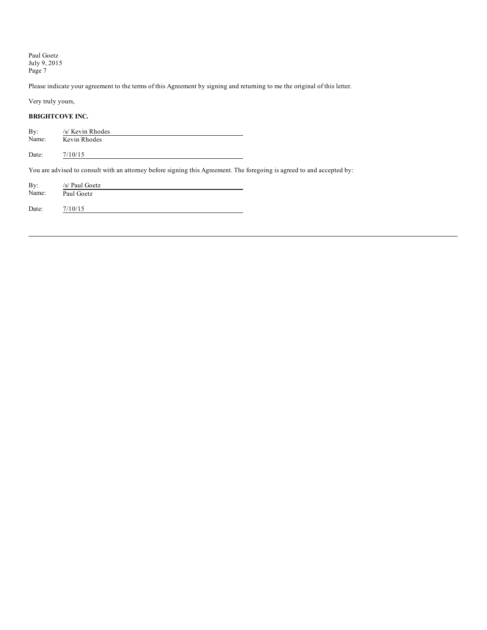Please indicate your agreement to the terms of this Agreement by signing and returning to me the original of this letter.

Very truly yours,

# **BRIGHTCOVE INC.**

| By:<br>Name: | /s/ Kevin Rhodes<br>Kevin Rhodes                                                                                       |  |
|--------------|------------------------------------------------------------------------------------------------------------------------|--|
| Date:        | 7/10/15                                                                                                                |  |
|              | You are advised to consult with an attorney before signing this Agreement. The foregoing is agreed to and accepted by: |  |
| By:<br>Name: | /s/ Paul Goetz<br>Paul Goetz                                                                                           |  |
| Date:        | 7/10/15                                                                                                                |  |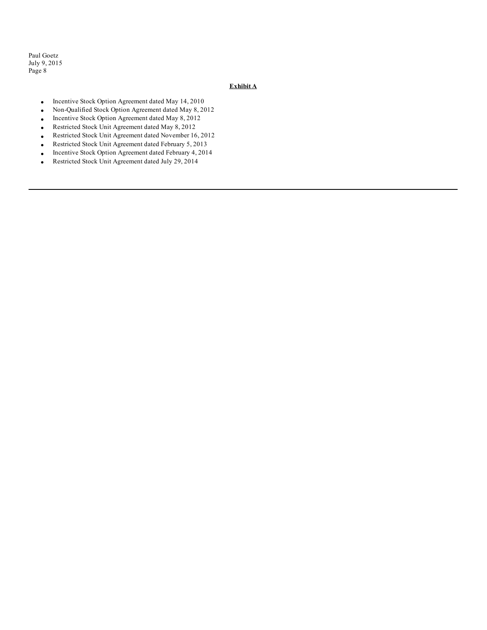# **Exhibit A**

- · Incentive Stock Option Agreement dated May 14, 2010
- · Non-Qualified Stock Option Agreement dated May 8, 2012
- · Incentive Stock Option Agreement dated May 8, 2012
- Restricted Stock Unit Agreement dated May 8, 2012
- · Restricted Stock Unit Agreement dated November 16, 2012
- Restricted Stock Unit Agreement dated February 5, 2013
- · Incentive Stock Option Agreement dated February 4, 2014
- Restricted Stock Unit Agreement dated July 29, 2014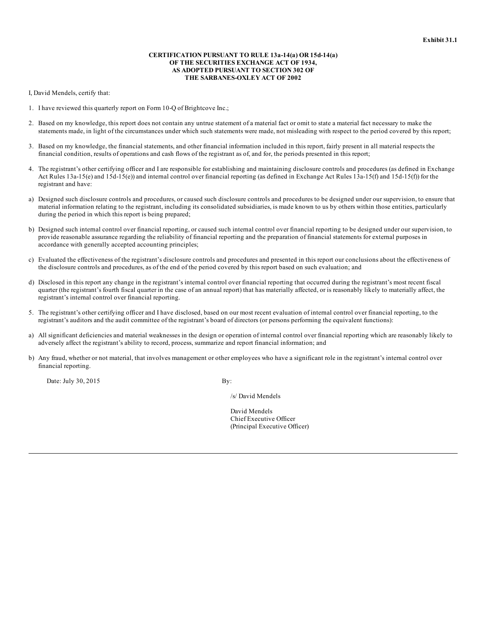### **CERTIFICATION PURSUANT TO RULE 13a-14(a) OR 15d-14(a) OF THE SECURITIES EXCHANGE ACT OF 1934, AS ADOPTED PURSUANT TO SECTION 302 OF THE SARBANES-OXLEY ACT OF 2002**

I, David Mendels, certify that:

- 1. I have reviewed this quarterly report on Form 10-Q of Brightcove Inc.;
- 2. Based on my knowledge, this report does not contain any untrue statement of a material fact or omit to state a material fact necessary to make the statements made, in light of the circumstances under which such statements were made, not misleading with respect to the period covered by this report;
- 3. Based on my knowledge, the financial statements, and other financial information included in this report, fairly present in all material respects the financial condition, results of operations and cash flows of the registrant as of, and for, the periods presented in this report;
- 4. The registrant's other certifying officer and I are responsible for establishing and maintaining disclosure controls and procedures (as defined in Exchange Act Rules 13a-15(e) and 15d-15(e)) and internal control over financial reporting (as defined in Exchange Act Rules 13a-15(f) and 15d-15(f)) for the registrant and have:
- a) Designed such disclosure controls and procedures, or caused such disclosure controls and procedures to be designed under our supervision, to ensure that material information relating to the registrant, including its consolidated subsidiaries, is made known to us by others within those entities, particularly during the period in which this report is being prepared;
- b) Designed such internal control over financial reporting, or caused such internal control over financial reporting to be designed under our supervision, to provide reasonable assurance regarding the reliability of financial reporting and the preparation of financial statements for external purposes in accordance with generally accepted accounting principles;
- c) Evaluated the effectiveness of the registrant's disclosure controls and procedures and presented in this report our conclusions about the effectiveness of the disclosure controls and procedures, as of the end of the period covered by this report based on such evaluation; and
- d) Disclosed in this report any change in the registrant's internal control over financial reporting that occurred during the registrant's most recent fiscal quarter (the registrant's fourth fiscal quarter in the case of an annual report) that has materially affected, or is reasonably likely to materially affect, the registrant's internal control over financial reporting.
- 5. The registrant's other certifying officer and I have disclosed, based on our most recent evaluation of internal control over financial reporting, to the registrant's auditors and the audit committee of the registrant's board of directors (or persons performing the equivalent functions):
- a) All significant deficiencies and material weaknesses in the design or operation of internal control over financial reporting which are reasonably likely to adversely affect the registrant's ability to record, process, summarize and report financial information; and
- b) Any fraud, whether or not material, that involves management or other employees who have a significant role in the registrant's internal control over financial reporting.

Date: July 30, 2015 By:

/s/ David Mendels

David Mendels Chief Executive Officer (Principal Executive Officer)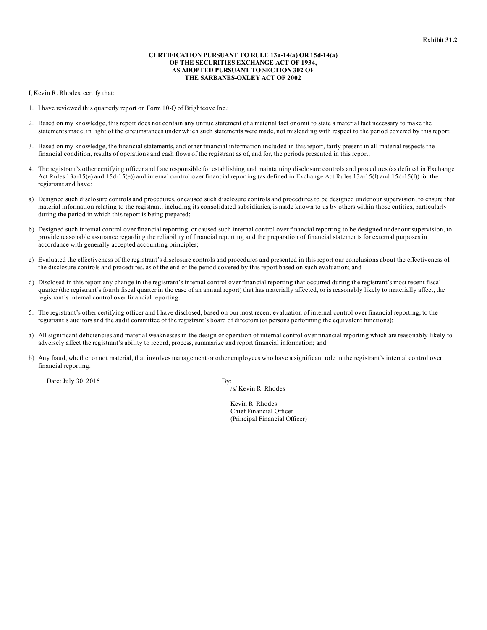### **CERTIFICATION PURSUANT TO RULE 13a-14(a) OR 15d-14(a) OF THE SECURITIES EXCHANGE ACT OF 1934, AS ADOPTED PURSUANT TO SECTION 302 OF THE SARBANES-OXLEY ACT OF 2002**

I, Kevin R. Rhodes, certify that:

- 1. I have reviewed this quarterly report on Form 10-Q of Brightcove Inc.;
- 2. Based on my knowledge, this report does not contain any untrue statement of a material fact or omit to state a material fact necessary to make the statements made, in light of the circumstances under which such statements were made, not misleading with respect to the period covered by this report;
- 3. Based on my knowledge, the financial statements, and other financial information included in this report, fairly present in all material respects the financial condition, results of operations and cash flows of the registrant as of, and for, the periods presented in this report;
- 4. The registrant's other certifying officer and I are responsible for establishing and maintaining disclosure controls and procedures (as defined in Exchange Act Rules 13a-15(e) and 15d-15(e)) and internal control over financial reporting (as defined in Exchange Act Rules 13a-15(f) and 15d-15(f)) for the registrant and have:
- a) Designed such disclosure controls and procedures, or caused such disclosure controls and procedures to be designed under our supervision, to ensure that material information relating to the registrant, including its consolidated subsidiaries, is made known to us by others within those entities, particularly during the period in which this report is being prepared;
- b) Designed such internal control over financial reporting, or caused such internal control over financial reporting to be designed under our supervision, to provide reasonable assurance regarding the reliability of financial reporting and the preparation of financial statements for external purposes in accordance with generally accepted accounting principles;
- c) Evaluated the effectiveness of the registrant's disclosure controls and procedures and presented in this report our conclusions about the effectiveness of the disclosure controls and procedures, as of the end of the period covered by this report based on such evaluation; and
- d) Disclosed in this report any change in the registrant's internal control over financial reporting that occurred during the registrant's most recent fiscal quarter (the registrant's fourth fiscal quarter in the case of an annual report) that has materially affected, or is reasonably likely to materially affect, the registrant's internal control over financial reporting.
- 5. The registrant's other certifying officer and I have disclosed, based on our most recent evaluation of internal control over financial reporting, to the registrant's auditors and the audit committee of the registrant's board of directors (or persons performing the equivalent functions):
- a) All significant deficiencies and material weaknesses in the design or operation of internal control over financial reporting which are reasonably likely to adversely affect the registrant's ability to record, process, summarize and report financial information; and
- b) Any fraud, whether or not material, that involves management or other employees who have a significant role in the registrant's internal control over financial reporting.

Date: July 30, 2015 By:

/s/ Kevin R. Rhodes

Kevin R. Rhodes Chief Financial Officer (Principal Financial Officer)